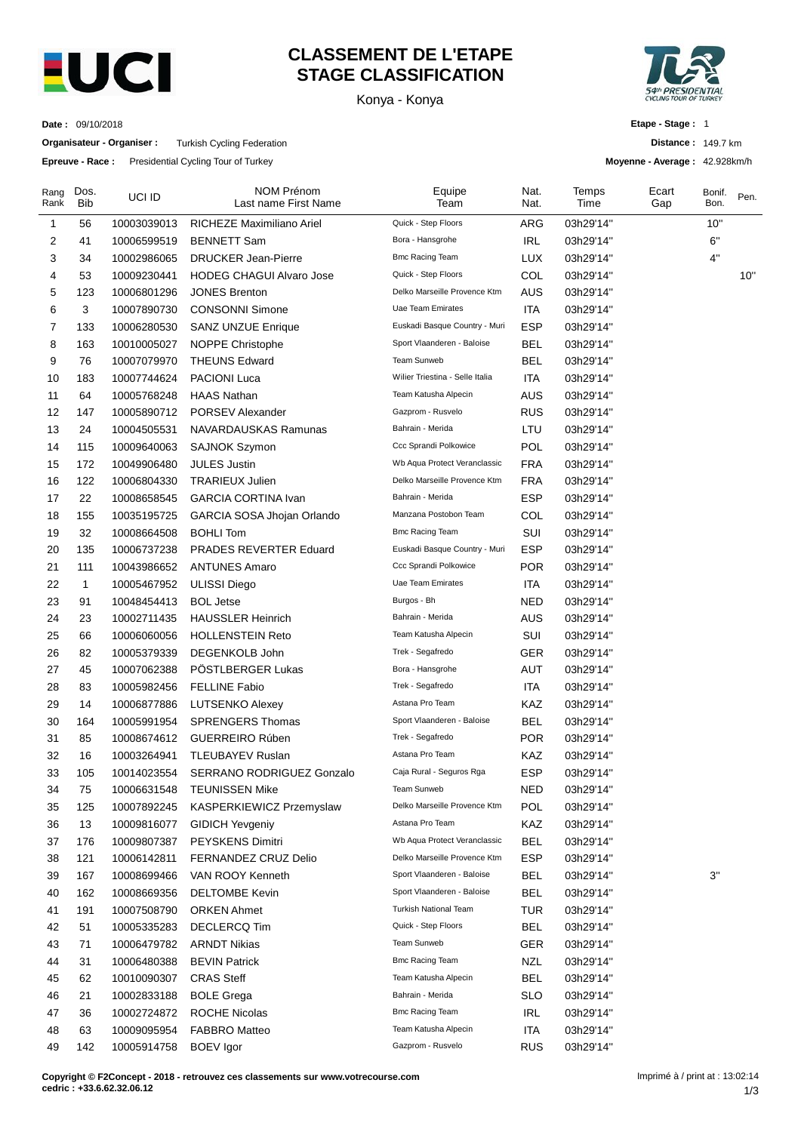

### **CLASSEMENT DE L'ETAPE STAGE CLASSIFICATION**

Konya - Konya



**Distance :** 149.7 km **Moyenne - Average :** 42.928km/h

**Etape - Stage :** 1

**Date :** 09/10/2018

**Organisateur - Organiser :** Turkish Cycling Federation

**Epreuve - Race :** Presidential Cycling Tour of Turkey

| Rang<br>Rank | Dos.<br><b>Bib</b> | UCI ID      | NOM Prénom<br>Last name First Name | Equipe<br>Team                  | Nat.<br>Nat. | Temps<br>Time | Ecart<br>Gap | Bonif.<br>Bon. | Pen. |
|--------------|--------------------|-------------|------------------------------------|---------------------------------|--------------|---------------|--------------|----------------|------|
| 1            | 56                 | 10003039013 | RICHEZE Maximiliano Ariel          | Quick - Step Floors             | ARG          | 03h29'14"     |              | 10"            |      |
| 2            | 41                 | 10006599519 | <b>BENNETT Sam</b>                 | Bora - Hansgrohe                | <b>IRL</b>   | 03h29'14"     |              | 6"             |      |
| 3            | 34                 | 10002986065 | <b>DRUCKER Jean-Pierre</b>         | <b>Bmc Racing Team</b>          | <b>LUX</b>   | 03h29'14"     |              | $4"$           |      |
| 4            | 53                 | 10009230441 | <b>HODEG CHAGUI Alvaro Jose</b>    | Quick - Step Floors             | COL          | 03h29'14"     |              |                | 10"  |
| 5            | 123                | 10006801296 | <b>JONES Brenton</b>               | Delko Marseille Provence Ktm    | <b>AUS</b>   | 03h29'14"     |              |                |      |
| 6            | 3                  | 10007890730 | <b>CONSONNI Simone</b>             | Uae Team Emirates               | <b>ITA</b>   | 03h29'14"     |              |                |      |
| 7            | 133                | 10006280530 | <b>SANZ UNZUE Enrique</b>          | Euskadi Basque Country - Muri   | <b>ESP</b>   | 03h29'14"     |              |                |      |
| 8            | 163                | 10010005027 | NOPPE Christophe                   | Sport Vlaanderen - Baloise      | <b>BEL</b>   | 03h29'14"     |              |                |      |
| 9            | 76                 | 10007079970 | <b>THEUNS Edward</b>               | Team Sunweb                     | <b>BEL</b>   | 03h29'14"     |              |                |      |
| 10           | 183                | 10007744624 | <b>PACIONI Luca</b>                | Wilier Triestina - Selle Italia | <b>ITA</b>   | 03h29'14"     |              |                |      |
| 11           | 64                 | 10005768248 | <b>HAAS Nathan</b>                 | Team Katusha Alpecin            | <b>AUS</b>   | 03h29'14"     |              |                |      |
| 12           | 147                | 10005890712 | PORSEV Alexander                   | Gazprom - Rusvelo               | <b>RUS</b>   | 03h29'14"     |              |                |      |
| 13           | 24                 | 10004505531 | NAVARDAUSKAS Ramunas               | Bahrain - Merida                | LTU          | 03h29'14"     |              |                |      |
| 14           | 115                | 10009640063 | SAJNOK Szymon                      | Ccc Sprandi Polkowice           | POL          | 03h29'14"     |              |                |      |
| 15           | 172                | 10049906480 | <b>JULES Justin</b>                | Wb Aqua Protect Veranclassic    | <b>FRA</b>   | 03h29'14"     |              |                |      |
| 16           | 122                | 10006804330 | <b>TRARIEUX Julien</b>             | Delko Marseille Provence Ktm    | <b>FRA</b>   | 03h29'14"     |              |                |      |
| 17           | 22                 | 10008658545 | <b>GARCIA CORTINA Ivan</b>         | Bahrain - Merida                | <b>ESP</b>   | 03h29'14"     |              |                |      |
| 18           | 155                | 10035195725 | GARCIA SOSA Jhojan Orlando         | Manzana Postobon Team           | COL          | 03h29'14"     |              |                |      |
| 19           | 32                 | 10008664508 | <b>BOHLI Tom</b>                   | <b>Bmc Racing Team</b>          | SUI          | 03h29'14"     |              |                |      |
| 20           | 135                | 10006737238 | PRADES REVERTER Eduard             | Euskadi Basque Country - Muri   | <b>ESP</b>   | 03h29'14"     |              |                |      |
| 21           | 111                | 10043986652 | <b>ANTUNES Amaro</b>               | Ccc Sprandi Polkowice           | <b>POR</b>   | 03h29'14"     |              |                |      |
| 22           | 1                  | 10005467952 | <b>ULISSI Diego</b>                | Uae Team Emirates               | <b>ITA</b>   | 03h29'14"     |              |                |      |
| 23           | 91                 | 10048454413 | <b>BOL Jetse</b>                   | Burgos - Bh                     | NED          | 03h29'14"     |              |                |      |
| 24           | 23                 | 10002711435 | <b>HAUSSLER Heinrich</b>           | Bahrain - Merida                | AUS          | 03h29'14"     |              |                |      |
| 25           | 66                 | 10006060056 | <b>HOLLENSTEIN Reto</b>            | Team Katusha Alpecin            | SUI          | 03h29'14"     |              |                |      |
| 26           | 82                 | 10005379339 | DEGENKOLB John                     | Trek - Segafredo                | <b>GER</b>   | 03h29'14"     |              |                |      |
| 27           | 45                 | 10007062388 | POSTLBERGER Lukas                  | Bora - Hansgrohe                | <b>AUT</b>   | 03h29'14"     |              |                |      |
| 28           | 83                 | 10005982456 | <b>FELLINE Fabio</b>               | Trek - Segafredo                | <b>ITA</b>   | 03h29'14"     |              |                |      |
| 29           | 14                 | 10006877886 | <b>LUTSENKO Alexey</b>             | Astana Pro Team                 | KAZ          | 03h29'14"     |              |                |      |
| 30           | 164                | 10005991954 | <b>SPRENGERS Thomas</b>            | Sport Vlaanderen - Baloise      | BEL          | 03h29'14"     |              |                |      |
| 31           | 85                 | 10008674612 | <b>GUERREIRO Rúben</b>             | Trek - Segafredo                | POR          | 03h29'14"     |              |                |      |
| 32           | 16                 | 10003264941 | <b>TLEUBAYEV Ruslan</b>            | Astana Pro Team                 | KAZ          | 03h29'14"     |              |                |      |
| 33           | 105                | 10014023554 | SERRANO RODRIGUEZ Gonzalo          | Caja Rural - Seguros Rga        | <b>ESP</b>   | 03h29'14"     |              |                |      |
| 34           | 75                 | 10006631548 | <b>TEUNISSEN Mike</b>              | Team Sunweb                     | <b>NED</b>   | 03h29'14"     |              |                |      |
| 35           | 125                | 10007892245 | KASPERKIEWICZ Przemyslaw           | Delko Marseille Provence Ktm    | POL          | 03h29'14"     |              |                |      |
| 36           | 13                 | 10009816077 | <b>GIDICH Yevgeniy</b>             | Astana Pro Team                 | KAZ          | 03h29'14"     |              |                |      |
| 37           | 176                | 10009807387 | PEYSKENS Dimitri                   | Wb Aqua Protect Veranclassic    | <b>BEL</b>   | 03h29'14"     |              |                |      |
| 38           | 121                | 10006142811 | FERNANDEZ CRUZ Delio               | Delko Marseille Provence Ktm    | <b>ESP</b>   | 03h29'14"     |              |                |      |
| 39           | 167                | 10008699466 | VAN ROOY Kenneth                   | Sport Vlaanderen - Baloise      | <b>BEL</b>   | 03h29'14"     |              | 3"             |      |
| 40           | 162                | 10008669356 | <b>DELTOMBE Kevin</b>              | Sport Vlaanderen - Baloise      | <b>BEL</b>   | 03h29'14"     |              |                |      |
| 41           | 191                | 10007508790 | <b>ORKEN Ahmet</b>                 | <b>Turkish National Team</b>    | TUR          | 03h29'14"     |              |                |      |
| 42           | 51                 | 10005335283 | <b>DECLERCQ Tim</b>                | Quick - Step Floors             | <b>BEL</b>   | 03h29'14"     |              |                |      |
| 43           | 71                 | 10006479782 | <b>ARNDT Nikias</b>                | Team Sunweb                     | <b>GER</b>   | 03h29'14"     |              |                |      |
| 44           | 31                 | 10006480388 | <b>BEVIN Patrick</b>               | <b>Bmc Racing Team</b>          | <b>NZL</b>   | 03h29'14"     |              |                |      |
| 45           | 62                 | 10010090307 | <b>CRAS Steff</b>                  | Team Katusha Alpecin            | <b>BEL</b>   | 03h29'14"     |              |                |      |
| 46           | 21                 | 10002833188 | <b>BOLE Grega</b>                  | Bahrain - Merida                | SLO          | 03h29'14"     |              |                |      |
| 47           | 36                 | 10002724872 | <b>ROCHE Nicolas</b>               | <b>Bmc Racing Team</b>          | <b>IRL</b>   | 03h29'14"     |              |                |      |
| 48           | 63                 | 10009095954 | <b>FABBRO Matteo</b>               | Team Katusha Alpecin            | <b>ITA</b>   | 03h29'14"     |              |                |      |
| 49           | 142                | 10005914758 | <b>BOEV</b> Igor                   | Gazprom - Rusvelo               | <b>RUS</b>   | 03h29'14"     |              |                |      |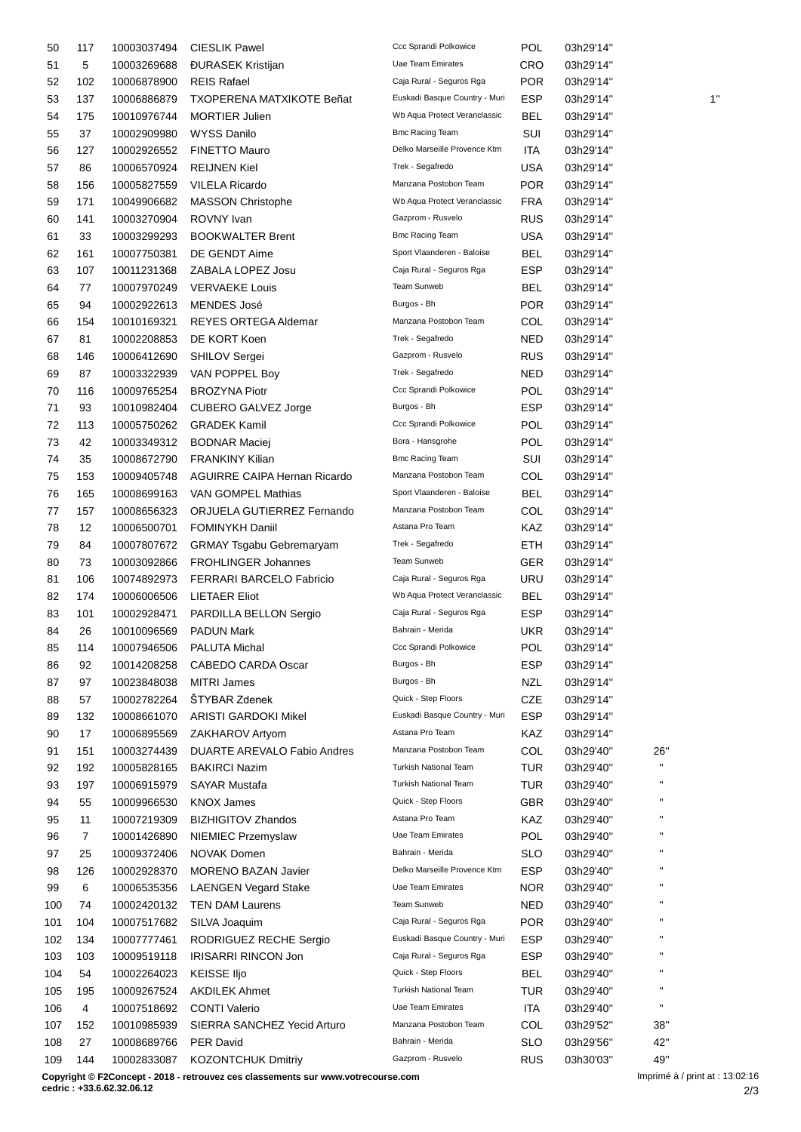| 50  | 117 | 10003037494 | <b>CIESLIK Pawel</b>               | Ccc Sprandi Polkowice         | POL        | 03h29'14" |                        |    |
|-----|-----|-------------|------------------------------------|-------------------------------|------------|-----------|------------------------|----|
| 51  | 5   | 10003269688 | <b>ĐURASEK Kristijan</b>           | Uae Team Emirates             | <b>CRO</b> | 03h29'14" |                        |    |
| 52  | 102 | 10006878900 | <b>REIS Rafael</b>                 | Caja Rural - Seguros Rga      | <b>POR</b> | 03h29'14" |                        |    |
| 53  | 137 | 10006886879 | <b>TXOPERENA MATXIKOTE Beñat</b>   | Euskadi Basque Country - Muri | <b>ESP</b> | 03h29'14" |                        | 1' |
| 54  | 175 | 10010976744 | <b>MORTIER Julien</b>              | Wb Aqua Protect Veranclassic  | <b>BEL</b> | 03h29'14" |                        |    |
| 55  | 37  | 10002909980 | <b>WYSS Danilo</b>                 | <b>Bmc Racing Team</b>        | SUI        | 03h29'14" |                        |    |
| 56  | 127 | 10002926552 | <b>FINETTO Mauro</b>               | Delko Marseille Provence Ktm  | ITA        | 03h29'14" |                        |    |
| 57  | 86  | 10006570924 | <b>REIJNEN Kiel</b>                | Trek - Segafredo              | <b>USA</b> | 03h29'14" |                        |    |
| 58  | 156 | 10005827559 | <b>VILELA Ricardo</b>              | Manzana Postobon Team         | <b>POR</b> | 03h29'14" |                        |    |
| 59  | 171 | 10049906682 | <b>MASSON Christophe</b>           | Wb Aqua Protect Veranclassic  | <b>FRA</b> | 03h29'14" |                        |    |
| 60  | 141 | 10003270904 | ROVNY Ivan                         | Gazprom - Rusvelo             | <b>RUS</b> | 03h29'14" |                        |    |
|     |     |             |                                    | <b>Bmc Racing Team</b>        |            |           |                        |    |
| 61  | 33  | 10003299293 | <b>BOOKWALTER Brent</b>            |                               | <b>USA</b> | 03h29'14" |                        |    |
| 62  | 161 | 10007750381 | DE GENDT Aime                      | Sport Vlaanderen - Baloise    | <b>BEL</b> | 03h29'14" |                        |    |
| 63  | 107 | 10011231368 | ZABALA LOPEZ Josu                  | Caja Rural - Seguros Rga      | <b>ESP</b> | 03h29'14" |                        |    |
| 64  | 77  | 10007970249 | <b>VERVAEKE Louis</b>              | Team Sunweb                   | <b>BEL</b> | 03h29'14" |                        |    |
| 65  | 94  | 10002922613 | MENDES José                        | Burgos - Bh                   | <b>POR</b> | 03h29'14" |                        |    |
| 66  | 154 | 10010169321 | REYES ORTEGA Aldemar               | Manzana Postobon Team         | COL        | 03h29'14" |                        |    |
| 67  | 81  | 10002208853 | DE KORT Koen                       | Trek - Segafredo              | <b>NED</b> | 03h29'14" |                        |    |
| 68  | 146 | 10006412690 | <b>SHILOV Sergei</b>               | Gazprom - Rusvelo             | <b>RUS</b> | 03h29'14" |                        |    |
| 69  | 87  | 10003322939 | VAN POPPEL Boy                     | Trek - Segafredo              | <b>NED</b> | 03h29'14" |                        |    |
| 70  | 116 | 10009765254 | <b>BROZYNA Piotr</b>               | Ccc Sprandi Polkowice         | <b>POL</b> | 03h29'14" |                        |    |
| 71  | 93  | 10010982404 | <b>CUBERO GALVEZ Jorge</b>         | Burgos - Bh                   | <b>ESP</b> | 03h29'14" |                        |    |
| 72  | 113 | 10005750262 | <b>GRADEK Kamil</b>                | Ccc Sprandi Polkowice         | POL        | 03h29'14" |                        |    |
| 73  | 42  | 10003349312 | <b>BODNAR Maciej</b>               | Bora - Hansgrohe              | POL        | 03h29'14" |                        |    |
| 74  | 35  | 10008672790 | <b>FRANKINY Kilian</b>             | <b>Bmc Racing Team</b>        | SUI        | 03h29'14" |                        |    |
| 75  | 153 | 10009405748 | AGUIRRE CAIPA Hernan Ricardo       | Manzana Postobon Team         | COL        | 03h29'14" |                        |    |
| 76  | 165 | 10008699163 | VAN GOMPEL Mathias                 | Sport Vlaanderen - Baloise    | <b>BEL</b> | 03h29'14" |                        |    |
| 77  | 157 | 10008656323 | ORJUELA GUTIERREZ Fernando         | Manzana Postobon Team         | COL        | 03h29'14" |                        |    |
| 78  | 12  | 10006500701 | <b>FOMINYKH Daniil</b>             | Astana Pro Team               | KAZ        | 03h29'14" |                        |    |
| 79  | 84  | 10007807672 | <b>GRMAY Tsgabu Gebremaryam</b>    | Trek - Segafredo              | <b>ETH</b> | 03h29'14" |                        |    |
| 80  | 73  | 10003092866 | FROHLINGER Johannes                | Team Sunweb                   | <b>GER</b> | 03h29'14" |                        |    |
| 81  | 106 | 10074892973 | FERRARI BARCELO Fabricio           | Caja Rural - Seguros Rga      | <b>URU</b> | 03h29'14" |                        |    |
| 82  | 174 | 10006006506 | <b>LIETAER Eliot</b>               | Wb Aqua Protect Veranclassic  | BEL        | 03h29'14" |                        |    |
| 83  | 101 | 10002928471 | PARDILLA BELLON Sergio             | Caja Rural - Seguros Rga      | ESP        | 03h29'14" |                        |    |
| 84  | 26  | 10010096569 | <b>PADUN Mark</b>                  | Bahrain - Merida              | <b>UKR</b> | 03h29'14" |                        |    |
|     |     |             | PALUTA Michal                      | Ccc Sprandi Polkowice         | POL        | 03h29'14" |                        |    |
| 85  | 114 | 10007946506 |                                    | Burgos - Bh                   |            |           |                        |    |
| 86  | 92  | 10014208258 | CABEDO CARDA Oscar                 |                               | <b>ESP</b> | 03h29'14" |                        |    |
| 87  | 97  | 10023848038 | <b>MITRI James</b>                 | Burgos - Bh                   | <b>NZL</b> | 03h29'14" |                        |    |
| 88  | 57  | 10002782264 | ŠTYBAR Zdenek                      | Quick - Step Floors           | <b>CZE</b> | 03h29'14" |                        |    |
| 89  | 132 | 10008661070 | <b>ARISTI GARDOKI Mikel</b>        | Euskadi Basque Country - Muri | <b>ESP</b> | 03h29'14" |                        |    |
| 90  | 17  | 10006895569 | ZAKHAROV Artyom                    | Astana Pro Team               | KAZ        | 03h29'14" |                        |    |
| 91  | 151 | 10003274439 | <b>DUARTE AREVALO Fabio Andres</b> | Manzana Postobon Team         | COL        | 03h29'40" | 26"                    |    |
| 92  | 192 | 10005828165 | <b>BAKIRCI Nazim</b>               | <b>Turkish National Team</b>  | <b>TUR</b> | 03h29'40" | $\mathbf{H}$           |    |
| 93  | 197 | 10006915979 | <b>SAYAR Mustafa</b>               | <b>Turkish National Team</b>  | <b>TUR</b> | 03h29'40" | $\pmb{\mathsf{H}}$     |    |
| 94  | 55  | 10009966530 | <b>KNOX James</b>                  | Quick - Step Floors           | <b>GBR</b> | 03h29'40" | н                      |    |
| 95  | 11  | 10007219309 | <b>BIZHIGITOV Zhandos</b>          | Astana Pro Team               | KAZ        | 03h29'40" | н                      |    |
| 96  | 7   | 10001426890 | NIEMIEC Przemyslaw                 | Uae Team Emirates             | POL        | 03h29'40" | н                      |    |
| 97  | 25  | 10009372406 | <b>NOVAK Domen</b>                 | Bahrain - Merida              | SLO        | 03h29'40" | $\pmb{\shortparallel}$ |    |
| 98  | 126 | 10002928370 | <b>MORENO BAZAN Javier</b>         | Delko Marseille Provence Ktm  | <b>ESP</b> | 03h29'40" | н                      |    |
| 99  | 6   | 10006535356 | <b>LAENGEN Vegard Stake</b>        | Uae Team Emirates             | NOR.       | 03h29'40" | $\pmb{\mathsf{H}}$     |    |
| 100 | 74  | 10002420132 | <b>TEN DAM Laurens</b>             | Team Sunweb                   | <b>NED</b> | 03h29'40" | $\blacksquare$         |    |
| 101 | 104 | 10007517682 | SILVA Joaquim                      | Caja Rural - Seguros Rga      | <b>POR</b> | 03h29'40" | $\blacksquare$         |    |
| 102 | 134 | 10007777461 | RODRIGUEZ RECHE Sergio             | Euskadi Basque Country - Muri | <b>ESP</b> | 03h29'40" | $\mathbf{H}$           |    |
| 103 | 103 | 10009519118 | <b>IRISARRI RINCON Jon</b>         | Caja Rural - Seguros Rga      | <b>ESP</b> | 03h29'40" | $\pmb{\mathsf{H}}$     |    |
| 104 | 54  | 10002264023 | <b>KEISSE IIjo</b>                 | Quick - Step Floors           | <b>BEL</b> | 03h29'40" | п                      |    |
| 105 | 195 | 10009267524 | <b>AKDILEK Ahmet</b>               | <b>Turkish National Team</b>  | TUR        | 03h29'40" | $\mathbf{H}$           |    |
| 106 | 4   | 10007518692 | <b>CONTI Valerio</b>               | Uae Team Emirates             | <b>ITA</b> | 03h29'40" | $\mathbf{H}$           |    |
| 107 | 152 | 10010985939 | SIERRA SANCHEZ Yecid Arturo        | Manzana Postobon Team         | COL        | 03h29'52" | 38"                    |    |
| 108 | 27  | 10008689766 | <b>PER David</b>                   | Bahrain - Merida              | <b>SLO</b> | 03h29'56" | 42"                    |    |
| 109 | 144 | 10002833087 | <b>KOZONTCHUK Dmitriy</b>          | Gazprom - Rusvelo             | <b>RUS</b> | 03h30'03" | 49"                    |    |
|     |     |             |                                    |                               |            |           |                        |    |

**Copyright © F2Concept - 2018 - retrouvez ces classements sur www.votrecourse.com**

**cedric : +33.6.62.32.06.12**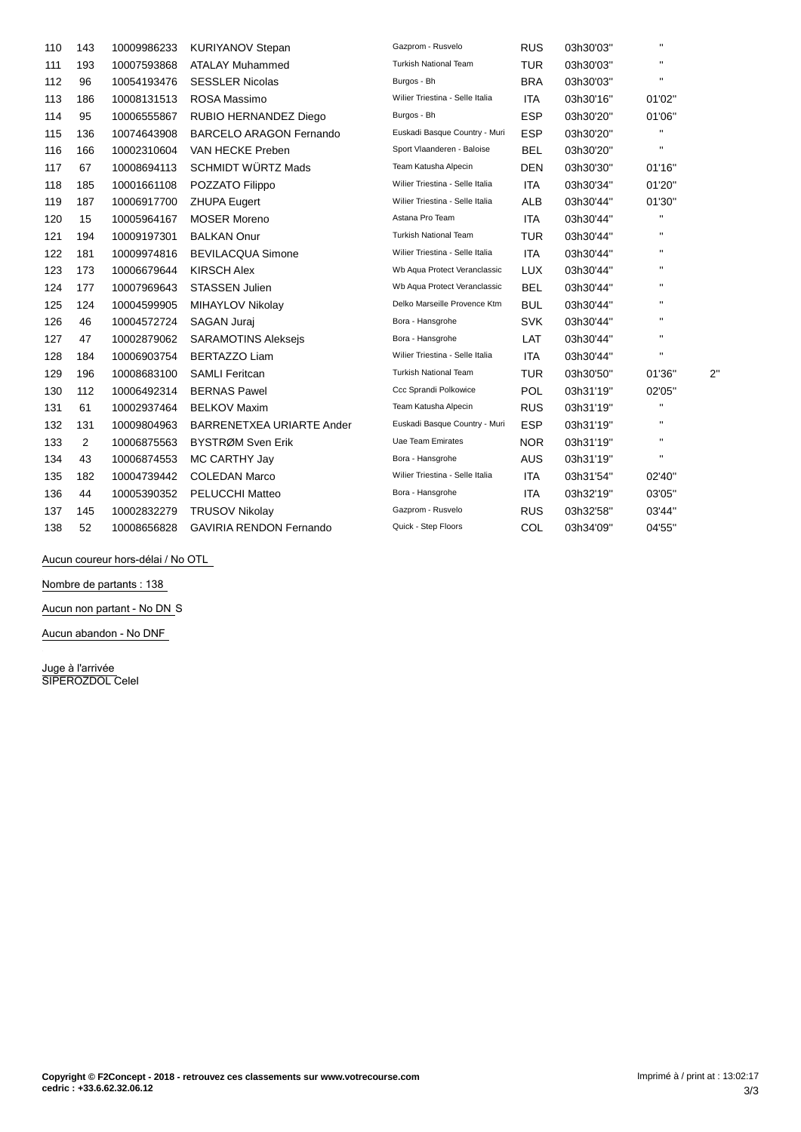| 110 | 143 | 10009986233 | <b>KURIYANOV Stepan</b>          | Gazprom - Rusvelo               | <b>RUS</b> | 03h30'03" | $\mathbf{H}$   |              |
|-----|-----|-------------|----------------------------------|---------------------------------|------------|-----------|----------------|--------------|
| 111 | 193 | 10007593868 | <b>ATALAY Muhammed</b>           | <b>Turkish National Team</b>    | <b>TUR</b> | 03h30'03" | $\mathbf{H}$   |              |
| 112 | 96  | 10054193476 | <b>SESSLER Nicolas</b>           | Burgos - Bh                     | <b>BRA</b> | 03h30'03" | $\mathbf{H}$   |              |
| 113 | 186 | 10008131513 | ROSA Massimo                     | Wilier Triestina - Selle Italia | <b>ITA</b> | 03h30'16" | 01'02"         |              |
| 114 | 95  | 10006555867 | RUBIO HERNANDEZ Diego            | Burgos - Bh                     | <b>ESP</b> | 03h30'20" | 01'06"         |              |
| 115 | 136 | 10074643908 | <b>BARCELO ARAGON Fernando</b>   | Euskadi Basque Country - Muri   | <b>ESP</b> | 03h30'20" | п              |              |
| 116 | 166 | 10002310604 | VAN HECKE Preben                 | Sport Vlaanderen - Baloise      | <b>BEL</b> | 03h30'20" | $\mathbf{H}$   |              |
| 117 | 67  | 10008694113 | <b>SCHMIDT WÜRTZ Mads</b>        | Team Katusha Alpecin            | <b>DEN</b> | 03h30'30" | 01'16"         |              |
| 118 | 185 | 10001661108 | POZZATO Filippo                  | Wilier Triestina - Selle Italia | <b>ITA</b> | 03h30'34" | 01'20"         |              |
| 119 | 187 | 10006917700 | <b>ZHUPA Eugert</b>              | Wilier Triestina - Selle Italia | ALB        | 03h30'44" | 01'30"         |              |
| 120 | 15  | 10005964167 | <b>MOSER Moreno</b>              | Astana Pro Team                 | <b>ITA</b> | 03h30'44" | $\mathbf{H}$   |              |
| 121 | 194 | 10009197301 | <b>BALKAN Onur</b>               | <b>Turkish National Team</b>    | <b>TUR</b> | 03h30'44" | $\blacksquare$ |              |
| 122 | 181 | 10009974816 | <b>BEVILACQUA Simone</b>         | Wilier Triestina - Selle Italia | <b>ITA</b> | 03h30'44" | $\mathbf{H}$   |              |
| 123 | 173 | 10006679644 | <b>KIRSCH Alex</b>               | Wb Aqua Protect Veranclassic    | <b>LUX</b> | 03h30'44" | $\mathbf{H}$   |              |
| 124 | 177 | 10007969643 | <b>STASSEN Julien</b>            | Wb Aqua Protect Veranclassic    | <b>BEL</b> | 03h30'44" | $\mathbf{H}$   |              |
| 125 | 124 | 10004599905 | MIHAYLOV Nikolay                 | Delko Marseille Provence Ktm    | <b>BUL</b> | 03h30'44" | $\mathbf{H}$   |              |
| 126 | 46  | 10004572724 | SAGAN Juraj                      | Bora - Hansgrohe                | <b>SVK</b> | 03h30'44" | $\mathbf{H}$   |              |
| 127 | 47  | 10002879062 | <b>SARAMOTINS Alekseis</b>       | Bora - Hansgrohe                | LAT        | 03h30'44" | $\mathbf{H}$   |              |
| 128 | 184 | 10006903754 | <b>BERTAZZO Liam</b>             | Wilier Triestina - Selle Italia | <b>ITA</b> | 03h30'44" | $\mathbf{H}$   |              |
| 129 | 196 | 10008683100 | <b>SAMLI Feritcan</b>            | <b>Turkish National Team</b>    | <b>TUR</b> | 03h30'50" | 01'36"         | $2^{\prime}$ |
| 130 | 112 | 10006492314 | <b>BERNAS Pawel</b>              | Ccc Sprandi Polkowice           | <b>POL</b> | 03h31'19" | 02'05"         |              |
| 131 | 61  | 10002937464 | <b>BELKOV Maxim</b>              | Team Katusha Alpecin            | <b>RUS</b> | 03h31'19" | $\mathbf{H}$   |              |
| 132 | 131 | 10009804963 | <b>BARRENETXEA URIARTE Ander</b> | Euskadi Basque Country - Muri   | <b>ESP</b> | 03h31'19" | $\mathbf{H}$   |              |
| 133 | 2   | 10006875563 | BYSTRØM Sven Erik                | <b>Uae Team Emirates</b>        | <b>NOR</b> | 03h31'19" | $\mathbf{H}$   |              |
| 134 | 43  | 10006874553 | MC CARTHY Jay                    | Bora - Hansgrohe                | <b>AUS</b> | 03h31'19" | $\mathbf{H}$   |              |
| 135 | 182 | 10004739442 | <b>COLEDAN Marco</b>             | Wilier Triestina - Selle Italia | <b>ITA</b> | 03h31'54" | 02'40"         |              |
| 136 | 44  | 10005390352 | PELUCCHI Matteo                  | Bora - Hansgrohe                | <b>ITA</b> | 03h32'19" | 03'05"         |              |
| 137 | 145 | 10002832279 | <b>TRUSOV Nikolay</b>            | Gazprom - Rusvelo               | <b>RUS</b> | 03h32'58" | 03'44"         |              |
| 138 | 52  | 10008656828 | <b>GAVIRIA RENDON Fernando</b>   | Quick - Step Floors             | COL        | 03h34'09" | 04'55"         |              |

Aucun coureur hors-délai / No OTL

**Nombre de partants : 138**

**Aucun non partant - No DN** S

**Aucun abandon - No DNF**

**Juge à l'arrivée** SIPEROZDOL Celel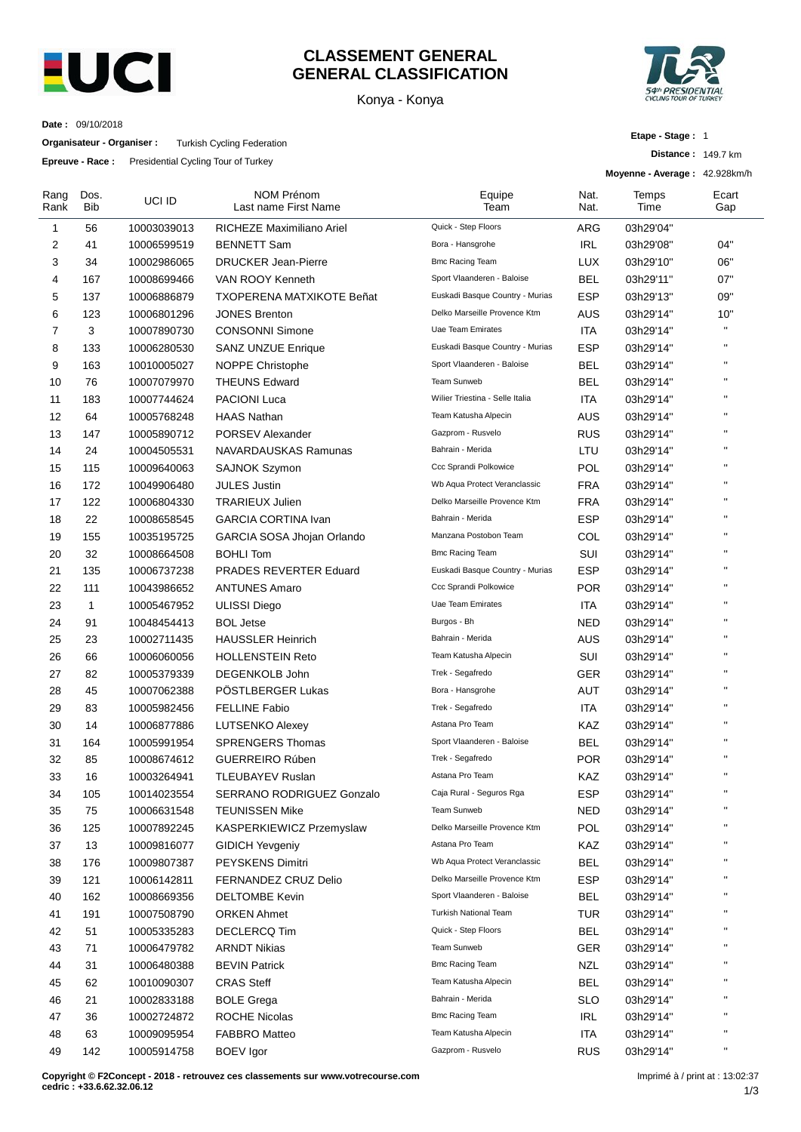

### **CLASSEMENT GENERAL GENERAL CLASSIFICATION**

Konya - Konya



**Distance :** 149.7 km

**Etape - Stage :** 1

**Date :** 09/10/2018

**Organisateur - Organiser :** Turkish Cycling Federation

**Epreuve - Race :** Presidential Cycling Tour of Turkey

|                |                    |             |                                           |                                 |                   | Moyenne - Average: 42.928km/h |              |
|----------------|--------------------|-------------|-------------------------------------------|---------------------------------|-------------------|-------------------------------|--------------|
| Rang<br>Rank   | Dos.<br><b>Bib</b> | UCI ID      | <b>NOM Prénom</b><br>Last name First Name | Equipe<br>Team                  | Nat.<br>Nat.      | Temps<br>Time                 | Ecart<br>Gap |
| 1              | 56                 | 10003039013 | RICHEZE Maximiliano Ariel                 | Quick - Step Floors             | ARG               | 03h29'04"                     |              |
| 2              | 41                 | 10006599519 | <b>BENNETT Sam</b>                        | Bora - Hansgrohe                | <b>IRL</b>        | 03h29'08"                     | 04"          |
| 3              | 34                 | 10002986065 | <b>DRUCKER Jean-Pierre</b>                | <b>Bmc Racing Team</b>          | <b>LUX</b>        | 03h29'10"                     | 06"          |
| 4              | 167                | 10008699466 | VAN ROOY Kenneth                          | Sport Vlaanderen - Baloise      | <b>BEL</b>        | 03h29'11"                     | 07"          |
| 5              | 137                | 10006886879 | <b>TXOPERENA MATXIKOTE Beñat</b>          | Euskadi Basque Country - Murias | <b>ESP</b>        | 03h29'13"                     | 09"          |
| 6              | 123                | 10006801296 | <b>JONES Brenton</b>                      | Delko Marseille Provence Ktm    | AUS               | 03h29'14"                     | 10"          |
| $\overline{7}$ | 3                  | 10007890730 | <b>CONSONNI Simone</b>                    | Uae Team Emirates               | <b>ITA</b>        | 03h29'14"                     | $\mathbf{u}$ |
| 8              | 133                | 10006280530 | <b>SANZ UNZUE Enrique</b>                 | Euskadi Basque Country - Murias | <b>ESP</b>        | 03h29'14"                     | $\mathbf{H}$ |
| 9              | 163                | 10010005027 | NOPPE Christophe                          | Sport Vlaanderen - Baloise      | <b>BEL</b>        | 03h29'14"                     | $\mathbf{H}$ |
| 10             | 76                 | 10007079970 | <b>THEUNS Edward</b>                      | Team Sunweb                     | <b>BEL</b>        | 03h29'14"                     | $\mathbf{H}$ |
| 11             | 183                | 10007744624 | <b>PACIONI Luca</b>                       | Wilier Triestina - Selle Italia | <b>ITA</b>        | 03h29'14"                     | $\mathbf{H}$ |
| 12             | 64                 | 10005768248 | <b>HAAS Nathan</b>                        | Team Katusha Alpecin            | AUS               | 03h29'14"                     | $\mathbf{H}$ |
| 13             | 147                | 10005890712 | <b>PORSEV Alexander</b>                   | Gazprom - Rusvelo               | <b>RUS</b>        | 03h29'14"                     | $\mathbf{H}$ |
| 14             | 24                 | 10004505531 | NAVARDAUSKAS Ramunas                      | Bahrain - Merida                | LTU               | 03h29'14"                     | H.           |
| 15             | 115                | 10009640063 | <b>SAJNOK Szymon</b>                      | Ccc Sprandi Polkowice           | <b>POL</b>        | 03h29'14"                     | $\mathbf{H}$ |
| 16             | 172                | 10049906480 | <b>JULES Justin</b>                       | Wb Aqua Protect Veranclassic    | <b>FRA</b>        | 03h29'14"                     | H.           |
| 17             | 122                | 10006804330 | <b>TRARIEUX Julien</b>                    | Delko Marseille Provence Ktm    | <b>FRA</b>        | 03h29'14"                     | $\mathbf{H}$ |
| 18             | 22                 | 10008658545 | <b>GARCIA CORTINA Ivan</b>                | Bahrain - Merida                | <b>ESP</b>        | 03h29'14"                     | H.           |
| 19             | 155                | 10035195725 | GARCIA SOSA Jhojan Orlando                | Manzana Postobon Team           | COL               | 03h29'14"                     | $\mathbf{H}$ |
| 20             | 32                 | 10008664508 | <b>BOHLI Tom</b>                          | <b>Bmc Racing Team</b>          | SUI               | 03h29'14"                     | $\mathbf{H}$ |
| 21             | 135                | 10006737238 | <b>PRADES REVERTER Eduard</b>             | Euskadi Basque Country - Murias | <b>ESP</b>        | 03h29'14"                     | $\mathbf{H}$ |
| 22             | 111                | 10043986652 | <b>ANTUNES Amaro</b>                      | Ccc Sprandi Polkowice           | <b>POR</b>        | 03h29'14"                     | H.           |
| 23             | $\mathbf{1}$       | 10005467952 | <b>ULISSI Diego</b>                       | <b>Uae Team Emirates</b>        | ITA               | 03h29'14"                     | $\mathbf{H}$ |
| 24             | 91                 | 10048454413 | <b>BOL Jetse</b>                          | Burgos - Bh                     | <b>NED</b>        | 03h29'14"                     | H.           |
| 25             | 23                 | 10002711435 | <b>HAUSSLER Heinrich</b>                  | Bahrain - Merida                | <b>AUS</b>        | 03h29'14"                     | $\mathbf{H}$ |
| 26             | 66                 | 10006060056 | <b>HOLLENSTEIN Reto</b>                   | Team Katusha Alpecin            | SUI               | 03h29'14"                     | $\mathbf{H}$ |
| 27             | 82                 | 10005379339 | DEGENKOLB John                            | Trek - Segafredo                | GER               | 03h29'14"                     | $\mathbf{H}$ |
| 28             | 45                 | 10007062388 | PÖSTLBERGER Lukas                         | Bora - Hansgrohe                | AUT               | 03h29'14"                     | H,           |
| 29             | 83                 |             | <b>FELLINE Fabio</b>                      | Trek - Segafredo                | ITA               |                               | $\mathbf{H}$ |
|                |                    | 10005982456 |                                           | Astana Pro Team                 |                   | 03h29'14"                     | H.           |
| 30             | 14                 | 10006877886 | <b>LUTSENKO Alexey</b>                    | Sport Vlaanderen - Baloise      | KAZ<br><b>BEL</b> | 03h29'14"                     | $\mathbf{H}$ |
| 31             | 164                | 10005991954 | <b>SPRENGERS Thomas</b>                   |                                 |                   | 03h29'14"                     | $\mathbf{H}$ |
| 32             | 85                 | 10008674612 | <b>GUERREIRO Rúben</b>                    | Trek - Segafredo                | <b>POR</b>        | 03h29'14"                     |              |
| 33             | 16                 | 10003264941 | TLEUBAYEV Ruslan                          | Astana Pro Team                 | KAZ               | 03h29'14"                     |              |
| 34             | 105                | 10014023554 | SERRANO RODRIGUEZ Gonzalo                 | Caja Rural - Seguros Rga        | <b>ESP</b>        | 03h29'14"                     | H.           |
| 35             | 75                 | 10006631548 | <b>TEUNISSEN Mike</b>                     | Team Sunweb                     | <b>NED</b>        | 03h29'14"                     | $\mathbf{H}$ |
| 36             | 125                | 10007892245 | KASPERKIEWICZ Przemyslaw                  | Delko Marseille Provence Ktm    | <b>POL</b>        | 03h29'14"                     | $\mathbf{H}$ |
| 37             | 13                 | 10009816077 | <b>GIDICH Yevgeniy</b>                    | Astana Pro Team                 | KAZ               | 03h29'14"                     | $\mathbf{H}$ |
| 38             | 176                | 10009807387 | <b>PEYSKENS Dimitri</b>                   | Wb Aqua Protect Veranclassic    | <b>BEL</b>        | 03h29'14"                     |              |
| 39             | 121                | 10006142811 | FERNANDEZ CRUZ Delio                      | Delko Marseille Provence Ktm    | <b>ESP</b>        | 03h29'14"                     | $\mathbf{H}$ |
| 40             | 162                | 10008669356 | <b>DELTOMBE Kevin</b>                     | Sport Vlaanderen - Baloise      | <b>BEL</b>        | 03h29'14"                     | $\mathbf{H}$ |
| 41             | 191                | 10007508790 | <b>ORKEN Ahmet</b>                        | Turkish National Team           | <b>TUR</b>        | 03h29'14"                     | $\mathbf{H}$ |
| 42             | 51                 | 10005335283 | <b>DECLERCQ Tim</b>                       | Quick - Step Floors             | <b>BEL</b>        | 03h29'14"                     |              |
| 43             | 71                 | 10006479782 | <b>ARNDT Nikias</b>                       | Team Sunweb                     | <b>GER</b>        | 03h29'14"                     |              |
| 44             | 31                 | 10006480388 | <b>BEVIN Patrick</b>                      | <b>Bmc Racing Team</b>          | <b>NZL</b>        | 03h29'14"                     | $\mathbf{H}$ |
| 45             | 62                 | 10010090307 | <b>CRAS Steff</b>                         | Team Katusha Alpecin            | <b>BEL</b>        | 03h29'14"                     | $\mathbf{H}$ |
| 46             | 21                 | 10002833188 | <b>BOLE Grega</b>                         | Bahrain - Merida                | <b>SLO</b>        | 03h29'14"                     | $\mathbf{H}$ |
| 47             | 36                 | 10002724872 | <b>ROCHE Nicolas</b>                      | <b>Bmc Racing Team</b>          | <b>IRL</b>        | 03h29'14"                     | $\mathbf{H}$ |
| 48             | 63                 | 10009095954 | <b>FABBRO Matteo</b>                      | Team Katusha Alpecin            | <b>ITA</b>        | 03h29'14"                     | $\mathbf{H}$ |
| 49             | 142                | 10005914758 | <b>BOEV</b> Igor                          | Gazprom - Rusvelo               | <b>RUS</b>        | 03h29'14"                     | $\mathbf{u}$ |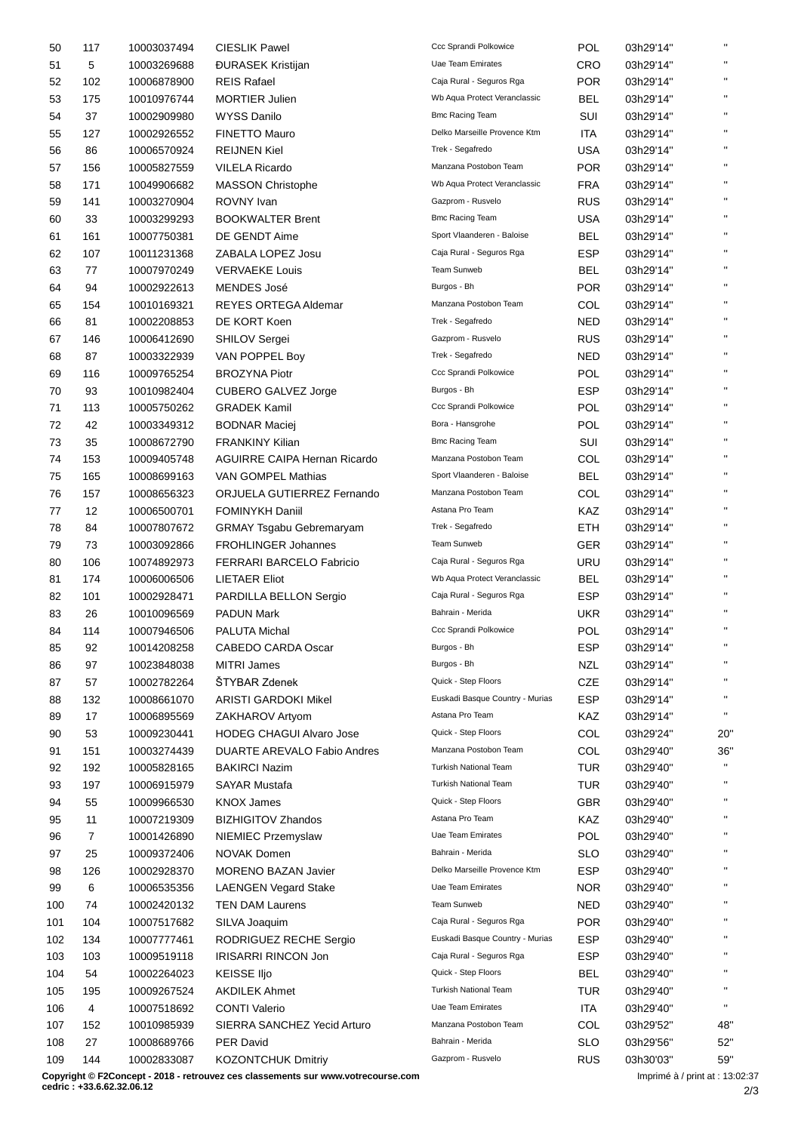| 50  | 117 | 10003037494 | <b>CIESLIK Pawel</b>                | Ccc Sprandi Polkowice              | <b>POL</b> | 03h29'14" | $\mathbf{u}$ |
|-----|-----|-------------|-------------------------------------|------------------------------------|------------|-----------|--------------|
| 51  | 5   | 10003269688 | <b><i>DURASEK Kristijan</i></b>     | <b>Uae Team Emirates</b>           | <b>CRO</b> | 03h29'14" | $\mathbf{H}$ |
| 52  | 102 | 10006878900 | <b>REIS Rafael</b>                  | Caja Rural - Seguros Rga           | <b>POR</b> | 03h29'14" | $\mathbf{u}$ |
| 53  | 175 | 10010976744 | <b>MORTIER Julien</b>               | Wb Aqua Protect Veranclassic       | <b>BEL</b> | 03h29'14" | $\mathbf{u}$ |
| 54  | 37  | 10002909980 | <b>WYSS Danilo</b>                  | <b>Bmc Racing Team</b>             | SUI        | 03h29'14" | $\mathbf{H}$ |
| 55  | 127 | 10002926552 | <b>FINETTO Mauro</b>                | Delko Marseille Provence Ktm       | ITA        | 03h29'14" | $\mathbf{H}$ |
| 56  | 86  | 10006570924 | <b>REIJNEN Kiel</b>                 | Trek - Segafredo                   | <b>USA</b> | 03h29'14" | $\mathbf{u}$ |
| 57  | 156 | 10005827559 | <b>VILELA Ricardo</b>               | Manzana Postobon Team              | <b>POR</b> | 03h29'14" | $\mathbf{u}$ |
| 58  | 171 | 10049906682 | <b>MASSON Christophe</b>            | Wb Aqua Protect Veranclassic       | <b>FRA</b> | 03h29'14" | $\mathbf{H}$ |
| 59  | 141 | 10003270904 | ROVNY Ivan                          | Gazprom - Rusvelo                  | <b>RUS</b> | 03h29'14" | $\mathbf{H}$ |
| 60  | 33  | 10003299293 | <b>BOOKWALTER Brent</b>             | <b>Bmc Racing Team</b>             | <b>USA</b> | 03h29'14" | $\mathbf{H}$ |
| 61  | 161 | 10007750381 | DE GENDT Aime                       | Sport Vlaanderen - Baloise         | <b>BEL</b> | 03h29'14" | $\mathbf{u}$ |
|     |     |             | ZABALA LOPEZ Josu                   | Caja Rural - Seguros Rga           | <b>ESP</b> |           | $\mathbf{H}$ |
| 62  | 107 | 10011231368 |                                     | Team Sunweb                        |            | 03h29'14" | $\mathbf{H}$ |
| 63  | 77  | 10007970249 | <b>VERVAEKE Louis</b>               |                                    | BEL        | 03h29'14" | $\mathbf{H}$ |
| 64  | 94  | 10002922613 | <b>MENDES José</b>                  | Burgos - Bh                        | <b>POR</b> | 03h29'14" | $\mathbf{u}$ |
| 65  | 154 | 10010169321 | <b>REYES ORTEGA Aldemar</b>         | Manzana Postobon Team              | COL        | 03h29'14" |              |
| 66  | 81  | 10002208853 | DE KORT Koen                        | Trek - Segafredo                   | <b>NED</b> | 03h29'14" | $\mathbf{u}$ |
| 67  | 146 | 10006412690 | <b>SHILOV Sergei</b>                | Gazprom - Rusvelo                  | <b>RUS</b> | 03h29'14" | $\mathbf{H}$ |
| 68  | 87  | 10003322939 | VAN POPPEL Boy                      | Trek - Segafredo                   | <b>NED</b> | 03h29'14" | $\mathbf{H}$ |
| 69  | 116 | 10009765254 | <b>BROZYNA Piotr</b>                | Ccc Sprandi Polkowice              | POL        | 03h29'14" | $\mathbf{H}$ |
| 70  | 93  | 10010982404 | <b>CUBERO GALVEZ Jorge</b>          | Burgos - Bh                        | <b>ESP</b> | 03h29'14" | $\mathbf{H}$ |
| 71  | 113 | 10005750262 | <b>GRADEK Kamil</b>                 | Ccc Sprandi Polkowice              | <b>POL</b> | 03h29'14" | $\mathbf{H}$ |
| 72  | 42  | 10003349312 | <b>BODNAR Maciej</b>                | Bora - Hansgrohe                   | <b>POL</b> | 03h29'14" | $\mathbf{H}$ |
| 73  | 35  | 10008672790 | <b>FRANKINY Kilian</b>              | <b>Bmc Racing Team</b>             | SUI        | 03h29'14" | $\mathbf{u}$ |
| 74  | 153 | 10009405748 | <b>AGUIRRE CAIPA Hernan Ricardo</b> | Manzana Postobon Team              | COL        | 03h29'14" | $\mathbf{H}$ |
| 75  | 165 | 10008699163 | VAN GOMPEL Mathias                  | Sport Vlaanderen - Baloise         | BEL        | 03h29'14" | $\mathbf{H}$ |
| 76  | 157 | 10008656323 | ORJUELA GUTIERREZ Fernando          | Manzana Postobon Team              | COL        | 03h29'14" | $\mathbf{H}$ |
| 77  | 12  | 10006500701 | <b>FOMINYKH Daniil</b>              | Astana Pro Team                    | KAZ        | 03h29'14" | $\mathbf{u}$ |
| 78  | 84  | 10007807672 | <b>GRMAY Tsgabu Gebremaryam</b>     | Trek - Segafredo                   | ETH        | 03h29'14" | $\mathbf{H}$ |
| 79  | 73  | 10003092866 | <b>FROHLINGER Johannes</b>          | Team Sunweb                        | <b>GER</b> | 03h29'14" | $\mathbf{H}$ |
| 80  | 106 | 10074892973 | FERRARI BARCELO Fabricio            | Caja Rural - Seguros Rga           | URU        | 03h29'14" | $\mathbf{H}$ |
| 81  | 174 | 10006006506 | <b>LIETAER Eliot</b>                | Wb Aqua Protect Veranclassic       | BEL        | 03h29'14" | $\mathbf{u}$ |
| 82  | 101 | 10002928471 | PARDILLA BELLON Sergio              | Caja Rural - Seguros Rga           | <b>ESP</b> | 03h29'14" | $\mathbf{H}$ |
| 83  | 26  | 10010096569 | <b>PADUN Mark</b>                   | Bahrain - Merida                   | UKR        | 03h29'14" | $\mathbf{H}$ |
| 84  | 114 |             |                                     | Ccc Sprandi Polkowice              | <b>POL</b> |           | $\mathbf{H}$ |
|     |     | 10007946506 | PALUTA Michal                       | Burgos - Bh                        |            | 03h29'14" |              |
| 85  | 92  | 10014208258 | CABEDO CARDA Oscar                  |                                    | <b>ESP</b> | 03h29'14" | $\mathbf{H}$ |
| 86  | 97  | 10023848038 | <b>MITRI James</b>                  | Burgos - Bh<br>Quick - Step Floors | <b>NZL</b> | 03h29'14" | H.           |
| 87  | 57  | 10002782264 | ŠTYBAR Zdenek                       |                                    | CZE        | 03h29'14" | $\mathbf{H}$ |
| 88  | 132 | 10008661070 | <b>ARISTI GARDOKI Mikel</b>         | Euskadi Basque Country - Murias    | <b>ESP</b> | 03h29'14" |              |
| 89  | 17  | 10006895569 | ZAKHAROV Artyom                     | Astana Pro Team                    | KAZ        | 03h29'14" | $\mathbf{u}$ |
| 90  | 53  | 10009230441 | <b>HODEG CHAGUI Alvaro Jose</b>     | Quick - Step Floors                | COL        | 03h29'24" | 20"          |
| 91  | 151 | 10003274439 | DUARTE AREVALO Fabio Andres         | Manzana Postobon Team              | COL        | 03h29'40" | 36"          |
| 92  | 192 | 10005828165 | <b>BAKIRCI Nazim</b>                | <b>Turkish National Team</b>       | <b>TUR</b> | 03h29'40" | $\mathbf{H}$ |
| 93  | 197 | 10006915979 | <b>SAYAR Mustafa</b>                | <b>Turkish National Team</b>       | <b>TUR</b> | 03h29'40" |              |
| 94  | 55  | 10009966530 | <b>KNOX James</b>                   | Quick - Step Floors                | <b>GBR</b> | 03h29'40" | $\mathbf{H}$ |
| 95  | 11  | 10007219309 | <b>BIZHIGITOV Zhandos</b>           | Astana Pro Team                    | KAZ        | 03h29'40" | $\mathbf{H}$ |
| 96  | 7   | 10001426890 | NIEMIEC Przemyslaw                  | Uae Team Emirates                  | POL        | 03h29'40" | $\mathbf{H}$ |
| 97  | 25  | 10009372406 | <b>NOVAK Domen</b>                  | Bahrain - Merida                   | <b>SLO</b> | 03h29'40" |              |
| 98  | 126 | 10002928370 | <b>MORENO BAZAN Javier</b>          | Delko Marseille Provence Ktm       | <b>ESP</b> | 03h29'40" | H.           |
| 99  | 6   | 10006535356 | <b>LAENGEN Vegard Stake</b>         | <b>Uae Team Emirates</b>           | <b>NOR</b> | 03h29'40" | H,           |
| 100 | 74  | 10002420132 | <b>TEN DAM Laurens</b>              | Team Sunweb                        | <b>NED</b> | 03h29'40" | $\mathbf{H}$ |
| 101 | 104 | 10007517682 | SILVA Joaquim                       | Caja Rural - Seguros Rga           | <b>POR</b> | 03h29'40" |              |
| 102 | 134 | 10007777461 | RODRIGUEZ RECHE Sergio              | Euskadi Basque Country - Murias    | <b>ESP</b> | 03h29'40" | $\mathbf{H}$ |
| 103 | 103 | 10009519118 | <b>IRISARRI RINCON Jon</b>          | Caja Rural - Seguros Rga           | <b>ESP</b> | 03h29'40" | H,           |
| 104 | 54  | 10002264023 | <b>KEISSE IIjo</b>                  | Quick - Step Floors                | <b>BEL</b> | 03h29'40" | $\mathbf{u}$ |
| 105 | 195 | 10009267524 | <b>AKDILEK Ahmet</b>                | <b>Turkish National Team</b>       | TUR        | 03h29'40" | $\mathbf{H}$ |
|     |     |             |                                     | <b>Uae Team Emirates</b>           |            |           | $\mathbf{u}$ |
| 106 | 4   | 10007518692 | <b>CONTI Valerio</b>                | Manzana Postobon Team              | <b>ITA</b> | 03h29'40" |              |
| 107 | 152 | 10010985939 | SIERRA SANCHEZ Yecid Arturo         |                                    | COL        | 03h29'52" | 48"          |
| 108 | 27  | 10008689766 | PER David                           | Bahrain - Merida                   | <b>SLO</b> | 03h29'56" | 52"          |
| 109 | 144 | 10002833087 | <b>KOZONTCHUK Dmitriy</b>           | Gazprom - Rusvelo                  | <b>RUS</b> | 03h30'03" | 59"          |

2/3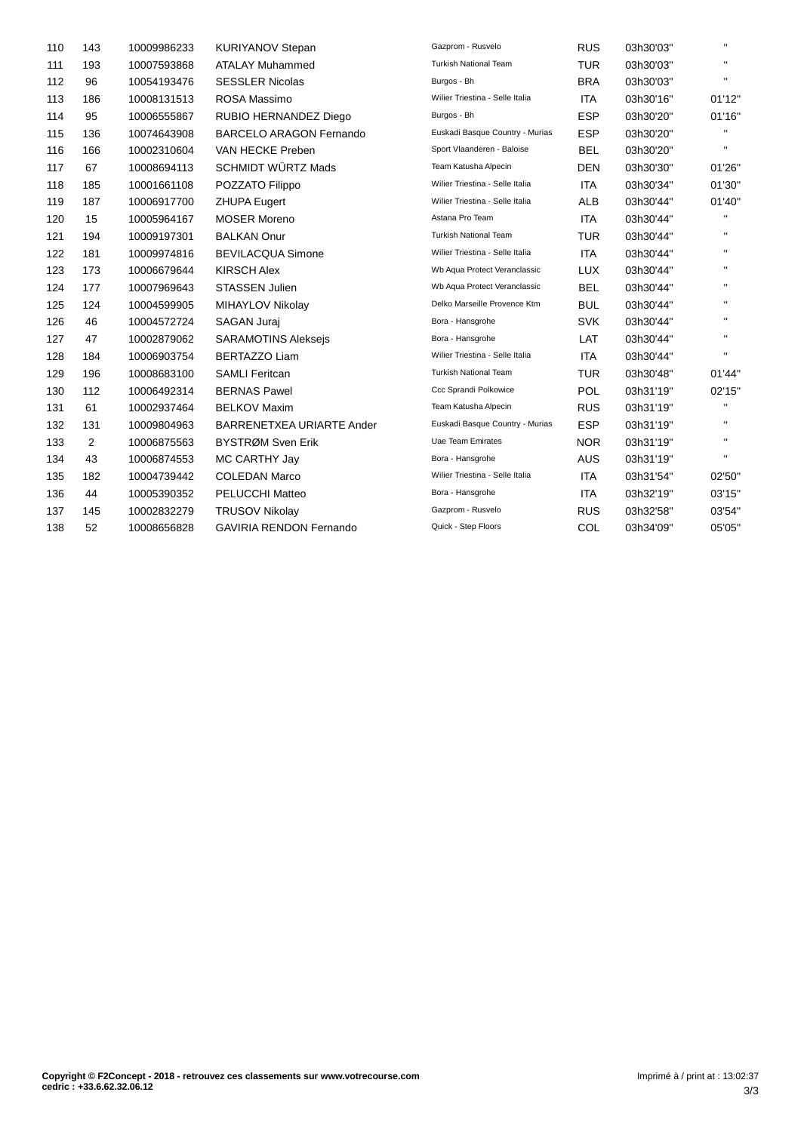| 110 | 143 | 10009986233 | <b>KURIYANOV Stepan</b>          | Gazprom - Rusvelo               | <b>RUS</b> | 03h30'03" | $\mathbf{H}$ |
|-----|-----|-------------|----------------------------------|---------------------------------|------------|-----------|--------------|
| 111 | 193 | 10007593868 | <b>ATALAY Muhammed</b>           | <b>Turkish National Team</b>    | <b>TUR</b> | 03h30'03" | $\mathbf{H}$ |
| 112 | 96  | 10054193476 | <b>SESSLER Nicolas</b>           | Burgos - Bh                     | <b>BRA</b> | 03h30'03" | $\mathbf{H}$ |
| 113 | 186 | 10008131513 | ROSA Massimo                     | Wilier Triestina - Selle Italia | <b>ITA</b> | 03h30'16" | 01'12"       |
| 114 | 95  | 10006555867 | RUBIO HERNANDEZ Diego            | Burgos - Bh                     | <b>ESP</b> | 03h30'20" | 01'16"       |
| 115 | 136 | 10074643908 | <b>BARCELO ARAGON Fernando</b>   | Euskadi Basque Country - Murias | <b>ESP</b> | 03h30'20" |              |
| 116 | 166 | 10002310604 | VAN HECKE Preben                 | Sport Vlaanderen - Baloise      | <b>BEL</b> | 03h30'20" | $\mathbf{H}$ |
| 117 | 67  | 10008694113 | <b>SCHMIDT WÜRTZ Mads</b>        | Team Katusha Alpecin            | <b>DEN</b> | 03h30'30" | 01'26"       |
| 118 | 185 | 10001661108 | POZZATO Filippo                  | Wilier Triestina - Selle Italia | <b>ITA</b> | 03h30'34" | 01'30"       |
| 119 | 187 | 10006917700 | <b>ZHUPA Eugert</b>              | Wilier Triestina - Selle Italia | <b>ALB</b> | 03h30'44" | 01'40"       |
| 120 | 15  | 10005964167 | <b>MOSER Moreno</b>              | Astana Pro Team                 | <b>ITA</b> | 03h30'44" | H.           |
| 121 | 194 | 10009197301 | <b>BALKAN Onur</b>               | <b>Turkish National Team</b>    | <b>TUR</b> | 03h30'44" | $\mathbf{H}$ |
| 122 | 181 | 10009974816 | <b>BEVILACQUA Simone</b>         | Wilier Triestina - Selle Italia | <b>ITA</b> | 03h30'44" | $\mathbf{H}$ |
| 123 | 173 | 10006679644 | <b>KIRSCH Alex</b>               | Wb Aqua Protect Veranclassic    | <b>LUX</b> | 03h30'44" | $\mathbf{H}$ |
| 124 | 177 | 10007969643 | <b>STASSEN Julien</b>            | Wb Aqua Protect Veranclassic    | <b>BEL</b> | 03h30'44" | $\mathbf{H}$ |
| 125 | 124 | 10004599905 | MIHAYLOV Nikolay                 | Delko Marseille Provence Ktm    | <b>BUL</b> | 03h30'44" | $\mathbf{H}$ |
| 126 | 46  | 10004572724 | SAGAN Juraj                      | Bora - Hansgrohe                | <b>SVK</b> | 03h30'44" | $\mathbf{H}$ |
| 127 | 47  | 10002879062 | <b>SARAMOTINS Alekseis</b>       | Bora - Hansgrohe                | LAT        | 03h30'44" | $\mathbf{H}$ |
| 128 | 184 | 10006903754 | <b>BERTAZZO Liam</b>             | Wilier Triestina - Selle Italia | <b>ITA</b> | 03h30'44" | $\mathbf{H}$ |
| 129 | 196 | 10008683100 | <b>SAMLI Feritcan</b>            | <b>Turkish National Team</b>    | <b>TUR</b> | 03h30'48" | 01'44"       |
| 130 | 112 | 10006492314 | <b>BERNAS Pawel</b>              | Ccc Sprandi Polkowice           | <b>POL</b> | 03h31'19" | 02'15"       |
| 131 | 61  | 10002937464 | <b>BELKOV Maxim</b>              | Team Katusha Alpecin            | <b>RUS</b> | 03h31'19" | $\mathbf{H}$ |
| 132 | 131 | 10009804963 | <b>BARRENETXEA URIARTE Ander</b> | Euskadi Basque Country - Murias | <b>ESP</b> | 03h31'19" | $\mathbf{H}$ |
| 133 | 2   | 10006875563 | BYSTRØM Sven Erik                | Uae Team Emirates               | <b>NOR</b> | 03h31'19" | $\mathbf{H}$ |
| 134 | 43  | 10006874553 | MC CARTHY Jay                    | Bora - Hansgrohe                | <b>AUS</b> | 03h31'19" | $\mathbf{H}$ |
| 135 | 182 | 10004739442 | <b>COLEDAN Marco</b>             | Wilier Triestina - Selle Italia | <b>ITA</b> | 03h31'54" | 02'50"       |
| 136 | 44  | 10005390352 | PELUCCHI Matteo                  | Bora - Hansgrohe                | <b>ITA</b> | 03h32'19" | 03'15"       |
| 137 | 145 | 10002832279 | <b>TRUSOV Nikolay</b>            | Gazprom - Rusvelo               | <b>RUS</b> | 03h32'58" | 03'54"       |
| 138 | 52  | 10008656828 | <b>GAVIRIA RENDON Fernando</b>   | Quick - Step Floors             | COL        | 03h34'09" | 05'05"       |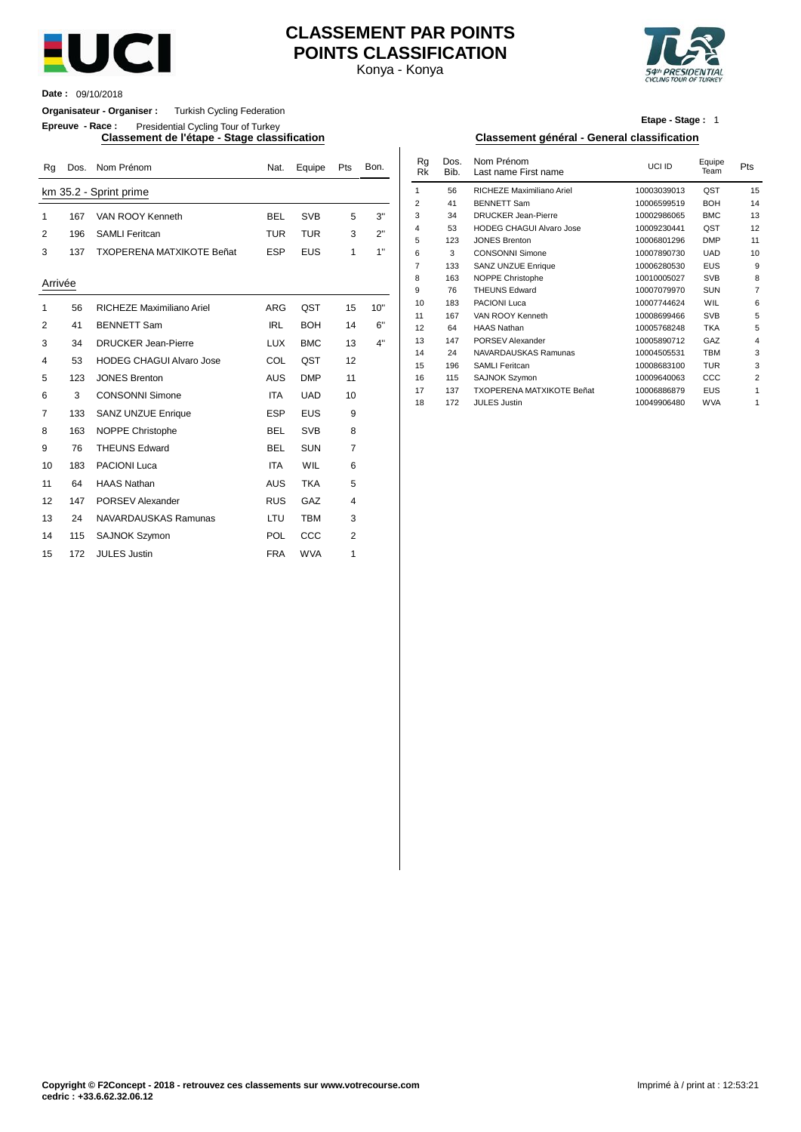

## **CLASSEMENT PAR POINTS POINTS CLASSIFICATION**

Konya - Konya



**Date :** 09/10/2018

**Organisateur - Organiser :** Turkish Cycling Federation

**Epreuve - Race :** Presidential Cycling Tour of Turkey

**Classement de l'étape - Stage classification Classement général - General classification**

| Rg          | Dos. | Nom Prénom                       | Nat.       | Equipe     | Pts            | Bon. | Rg<br><b>Rk</b> | Dos.<br>Bib. | Nom Prénom<br>Last name First name            | UCI ID                     | Equipe<br>Team           | Pts            |
|-------------|------|----------------------------------|------------|------------|----------------|------|-----------------|--------------|-----------------------------------------------|----------------------------|--------------------------|----------------|
|             |      | km 35.2 - Sprint prime           |            |            |                |      | $\mathbf 1$     | 56           | RICHEZE Maximiliano Ariel                     | 10003039013                | QST                      | 15             |
|             |      |                                  |            |            |                |      | 2               | 41           | <b>BENNETT Sam</b>                            | 10006599519                | <b>BOH</b>               | 14             |
| $\mathbf 1$ | 167  | VAN ROOY Kenneth                 | <b>BEL</b> | <b>SVB</b> | 5              | 3"   | 3               | 34           | <b>DRUCKER Jean-Pierre</b>                    | 10002986065                | <b>BMC</b>               | 13             |
| 2           | 196  | <b>SAMLI Feritcan</b>            | <b>TUR</b> | <b>TUR</b> | 3              | 2"   | $\overline{4}$  | 53           | <b>HODEG CHAGUI Alvaro Jose</b>               | 10009230441                | QST                      | 12             |
|             |      |                                  |            |            |                |      | 5               | 123          | <b>JONES Brenton</b>                          | 10006801296                | <b>DMP</b>               | 11             |
| 3           | 137  | <b>TXOPERENA MATXIKOTE Beñat</b> | <b>ESP</b> | <b>EUS</b> | 1              | 1"   | 6               | 3            | <b>CONSONNI Simone</b>                        | 10007890730                | <b>UAD</b>               | 1 <sub>0</sub> |
|             |      |                                  |            |            |                |      | $\overline{7}$  | 133          | <b>SANZ UNZUE Enrique</b>                     | 10006280530                | <b>EUS</b>               | ç              |
| Arrivée     |      |                                  |            |            |                |      | 8               | 163          | NOPPE Christophe                              | 10010005027                | <b>SVB</b>               | ξ              |
|             |      |                                  |            |            |                |      | 9               | 76           | <b>THEUNS Edward</b>                          | 10007079970                | <b>SUN</b>               |                |
| $\mathbf 1$ | 56   | RICHEZE Maximiliano Ariel        | ARG        | QST        | 15             | 10"  | 10              | 183          | <b>PACIONI Luca</b>                           | 10007744624                | WIL                      |                |
| 2           | 41   | <b>BENNETT Sam</b>               | <b>IRL</b> | <b>BOH</b> | 14             | 6"   | 11              | 167          | VAN ROOY Kenneth                              | 10008699466                | <b>SVB</b>               |                |
|             |      |                                  |            |            |                |      | 12              | 64           | <b>HAAS Nathan</b>                            | 10005768248                | <b>TKA</b>               |                |
| 3           | 34   | <b>DRUCKER Jean-Pierre</b>       | <b>LUX</b> | <b>BMC</b> | 13             | 4"   | 13              | 147          | <b>PORSEV Alexander</b>                       | 10005890712                | GAZ                      |                |
| 4           | 53   | <b>HODEG CHAGUI Alvaro Jose</b>  | COL        | QST        | 12             |      | 14              | 24           | NAVARDAUSKAS Ramunas<br><b>SAMLI Feritcan</b> | 10004505531                | <b>TBM</b><br><b>TUR</b> |                |
|             | 123  | <b>JONES Brenton</b>             | <b>AUS</b> | <b>DMP</b> | 11             |      | 15<br>16        | 196<br>115   | <b>SAJNOK Szymon</b>                          | 10008683100<br>10009640063 | CCC                      |                |
| 5           |      |                                  |            |            |                |      | 17              | 137          | <b>TXOPERENA MATXIKOTE Beñat</b>              | 10006886879                | EUS                      |                |
| 6           | 3    | <b>CONSONNI Simone</b>           | <b>ITA</b> | <b>UAD</b> | 10             |      | 18              | 172          | <b>JULES Justin</b>                           | 10049906480                | <b>WVA</b>               |                |
| 7           | 133  | <b>SANZ UNZUE Enrique</b>        | <b>ESP</b> | <b>EUS</b> | 9              |      |                 |              |                                               |                            |                          |                |
| 8           | 163  | NOPPE Christophe                 | <b>BEL</b> | <b>SVB</b> | 8              |      |                 |              |                                               |                            |                          |                |
| 9           | 76   | <b>THEUNS Edward</b>             | <b>BEL</b> | <b>SUN</b> | $\overline{7}$ |      |                 |              |                                               |                            |                          |                |
| 10          | 183  | <b>PACIONI Luca</b>              | <b>ITA</b> | WIL        | 6              |      |                 |              |                                               |                            |                          |                |
| 11          | 64   | <b>HAAS Nathan</b>               | <b>AUS</b> | <b>TKA</b> | 5              |      |                 |              |                                               |                            |                          |                |
| 12          | 147  | PORSEV Alexander                 | <b>RUS</b> | GAZ        | 4              |      |                 |              |                                               |                            |                          |                |
| 13          | 24   | NAVARDAUSKAS Ramunas             | LTU        | <b>TBM</b> | 3              |      |                 |              |                                               |                            |                          |                |
| 14          | 115  | <b>SAJNOK Szymon</b>             | POL        | CCC        | 2              |      |                 |              |                                               |                            |                          |                |
| 15          | 172  | <b>JULES Justin</b>              | <b>FRA</b> | <b>WVA</b> | 1              |      |                 |              |                                               |                            |                          |                |

**Etape - Stage :** 1

| Nat.       | Equipe     | Pts | Bon. | Rg<br>Rk       | Dos.<br>Bib. | Nom Prénom<br>Last name First name | UCI ID      | Equipe<br>Team | Pts            |
|------------|------------|-----|------|----------------|--------------|------------------------------------|-------------|----------------|----------------|
|            |            |     |      | 1              | 56           | RICHEZE Maximiliano Ariel          | 10003039013 | QST            | 15             |
|            |            |     |      | $\overline{2}$ | 41           | <b>BENNETT Sam</b>                 | 10006599519 | <b>BOH</b>     | 14             |
| BEL        | <b>SVB</b> | 5   | 3"   | 3              | 34           | <b>DRUCKER Jean-Pierre</b>         | 10002986065 | <b>BMC</b>     | 13             |
| TUR        | <b>TUR</b> | 3   | 2"   | 4              | 53           | <b>HODEG CHAGUI Alvaro Jose</b>    | 10009230441 | QST            | 12             |
|            |            |     |      | 5              | 123          | <b>JONES Brenton</b>               | 10006801296 | <b>DMP</b>     | 11             |
| ESP        | <b>EUS</b> | 1   | 1"   | 6              | 3            | <b>CONSONNI Simone</b>             | 10007890730 | <b>UAD</b>     | 10             |
|            |            |     |      | 7              | 133          | <b>SANZ UNZUE Enrique</b>          | 10006280530 | <b>EUS</b>     | 9              |
|            |            |     |      | 8              | 163          | NOPPE Christophe                   | 10010005027 | <b>SVB</b>     | 8              |
|            |            |     |      | 9              | 76           | <b>THEUNS Edward</b>               | 10007079970 | <b>SUN</b>     | $\overline{7}$ |
| ARG        | QST        | 15  | 10"  | 10             | 183          | <b>PACIONI Luca</b>                | 10007744624 | <b>WIL</b>     | 6              |
|            |            |     |      | 11             | 167          | VAN ROOY Kenneth                   | 10008699466 | <b>SVB</b>     | 5              |
| <b>IRL</b> | <b>BOH</b> | 14  | 6"   | 12             | 64           | <b>HAAS Nathan</b>                 | 10005768248 | <b>TKA</b>     | 5              |
| LUX        | <b>BMC</b> | 13  | 4"   | 13             | 147          | PORSEV Alexander                   | 10005890712 | GAZ            | $\overline{4}$ |
|            |            |     |      | 14             | 24           | NAVARDAUSKAS Ramunas               | 10004505531 | <b>TBM</b>     | 3              |
| COL        | QST        | 12  |      | 15             | 196          | <b>SAMLI Feritcan</b>              | 10008683100 | <b>TUR</b>     | 3              |
| AUS        | <b>DMP</b> | 11  |      | 16             | 115          | <b>SAJNOK Szymon</b>               | 10009640063 | CCC            | 2              |
| <b>ITA</b> | <b>UAD</b> | 10  |      | 17             | 137          | <b>TXOPERENA MATXIKOTE Beñat</b>   | 10006886879 | <b>EUS</b>     | 1              |
|            |            |     |      | 18             | 172          | <b>JULES Justin</b>                | 10049906480 | <b>WVA</b>     | 1              |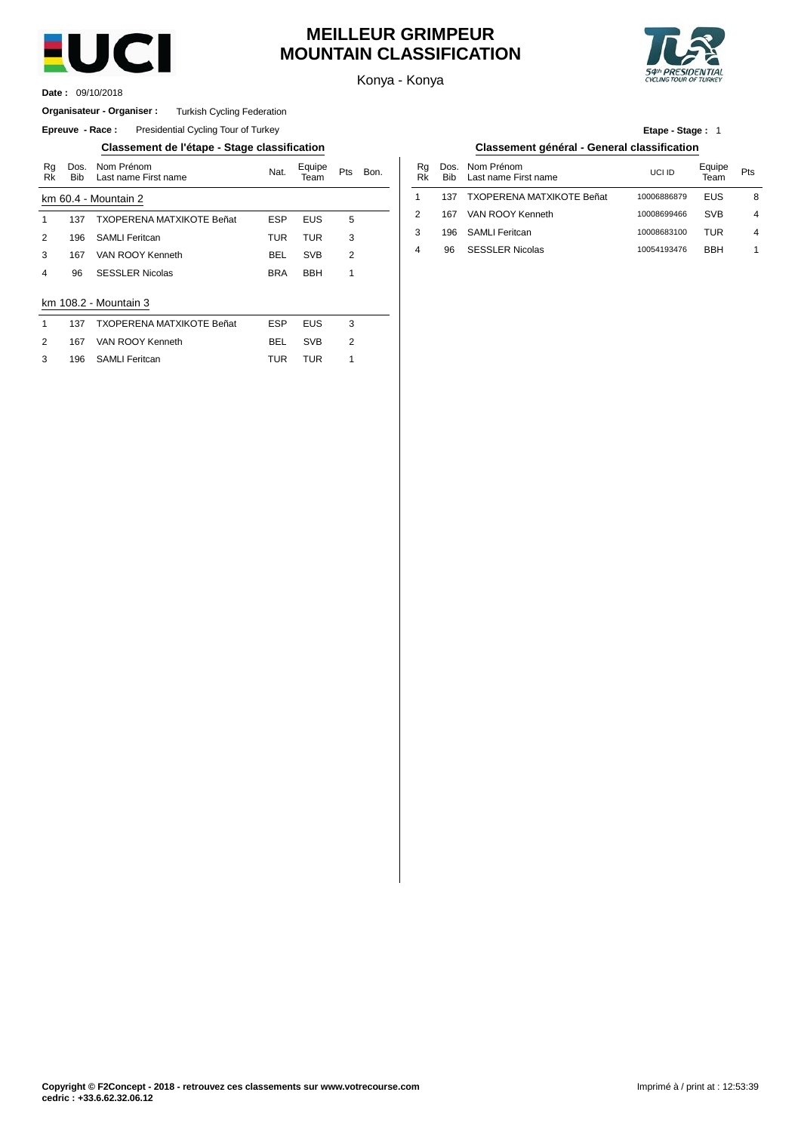

### **MEILLEUR GRIMPEUR MOUNTAIN CLASSIFICATION**

Konya - Konya



09/10/2018 **Date :**

### **Organisateur - Organiser :** Turkish Cycling Federation

**Epreuve - Race:** Presidential Cycling Tour of Turkey

### **Classement de l'étape - Stage classification Classement général - General classification**

| Rg<br>Rk | Dos.<br><b>Bib</b> | Nom Prénom<br>Last name First name | Nat.       | Equipe<br>Team | Pts            | Bon. |   | Rg<br>Rk | Dos<br><b>Bib</b> |
|----------|--------------------|------------------------------------|------------|----------------|----------------|------|---|----------|-------------------|
|          |                    | km 60.4 - Mountain 2               |            |                |                |      | 1 |          | 137               |
| 1        | 137                | <b>TXOPERENA MATXIKOTE Beñat</b>   | <b>ESP</b> | <b>EUS</b>     | 5              |      | 2 |          | 167               |
| 2        | 196                | <b>SAMLI Feritcan</b>              | TUR        | <b>TUR</b>     | 3              |      | 3 |          | 196               |
| 3        | 167                | VAN ROOY Kenneth                   | <b>BEL</b> | <b>SVB</b>     | $\overline{2}$ |      | 4 |          | 96                |
| 4        | 96                 | <b>SESSLER Nicolas</b>             | <b>BRA</b> | <b>BBH</b>     | 1              |      |   |          |                   |
|          |                    | km 108.2 - Mountain 3              |            |                |                |      |   |          |                   |
| 1        | 137                | <b>TXOPERENA MATXIKOTE Beñat</b>   | ESP        | <b>EUS</b>     | 3              |      |   |          |                   |
| 2        | 167                | VAN ROOY Kenneth                   | BEL        | <b>SVB</b>     | $\overline{2}$ |      |   |          |                   |
| 3        | 196                | <b>SAMLI Feritcan</b>              | TUR        | TUR            | 1              |      |   |          |                   |

| <b>Etape - Stage: 1</b>                   |  |
|-------------------------------------------|--|
| assement général - General classification |  |

| Bon. | Ra<br>Rk       | Bib | Dos. Nom Prénom<br>Last name First name | UCI ID      | Equipe<br>Team | Pts |
|------|----------------|-----|-----------------------------------------|-------------|----------------|-----|
|      |                | 137 | <b>TXOPERENA MATXIKOTE Beñat</b>        | 10006886879 | EUS            | 8   |
|      | 2              | 167 | VAN ROOY Kenneth                        | 10008699466 | <b>SVB</b>     | 4   |
|      | 3              | 196 | SAMLI Feritcan                          | 10008683100 | TUR            | 4   |
|      | $\overline{4}$ | 96  | <b>SESSLER Nicolas</b>                  | 10054193476 | <b>BBH</b>     |     |
|      |                |     |                                         |             |                |     |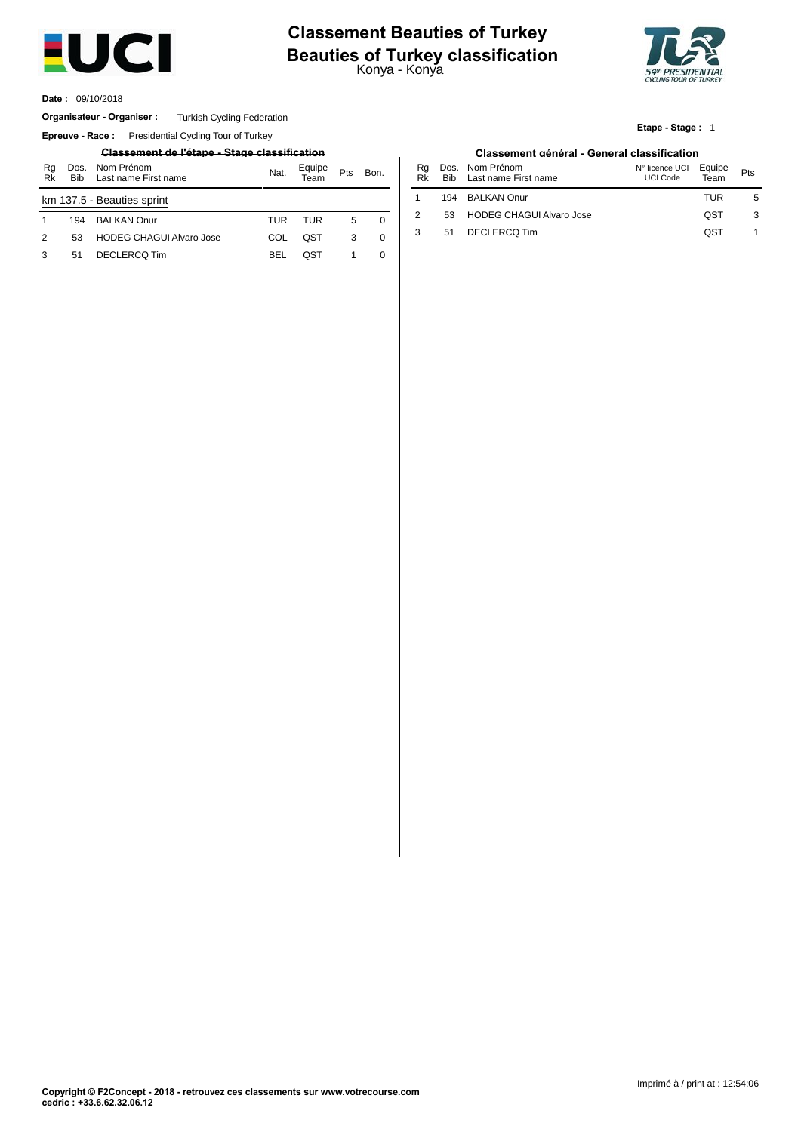

# **Beauties of Turkey classification**<br>Konya - Konya **Classement Beauties of Turkey**



**Etape - Stage :** 1

09/10/2018 **Date :**

#### Organisateur - Organiser : Turkish Cycling Federation

**Epreuve - Race:** Presidential Cycling Tour of Turkey

### **Classement de l'étape - Stage classification Classement général - General classification**

| Rq<br>Rk      | Dos.<br><b>Bib</b> | Nom Prénom<br>Last name First name | Nat. | Equipe<br>Team | Pts | Bon.     | Ra<br>Rk | Bib. | Dos. Nom Prénom<br>Last name First r |
|---------------|--------------------|------------------------------------|------|----------------|-----|----------|----------|------|--------------------------------------|
|               |                    | km 137.5 - Beauties sprint         |      |                |     |          |          | 194  | <b>BALKAN Onur</b>                   |
|               | 194                | <b>BALKAN Onur</b>                 | TUR  | TUR            | 5   | $\Omega$ |          | 53   | <b>HODEG CHAGL</b>                   |
| $\mathcal{P}$ | 53                 | <b>HODEG CHAGUI Alvaro Jose</b>    | COL  | OST            | 3   | $\Omega$ |          | 51   | <b>DECLERCQ Tim</b>                  |
|               | 51                 | DECLERCQ Tim                       | BEL  | OST            |     |          |          |      |                                      |

| Nat. | Equipe<br>Team | Pts | Bon. | Rq<br>Rk | Bib | Dos. Nom Prénom<br>Last name First name | N° licence UCI<br><b>UCI Code</b> | Equipe<br>Team | Pts |
|------|----------------|-----|------|----------|-----|-----------------------------------------|-----------------------------------|----------------|-----|
|      |                |     |      |          | 194 | <b>BALKAN Onur</b>                      |                                   | TUR            | 5   |
| TUR  | TUR            | 5   | 0    |          | 53  | <b>HODEG CHAGUI Alvaro Jose</b>         |                                   | QST            | 3   |
| COL  | QST            |     | 0    |          | 51  | DECLERCQ Tim                            |                                   | QST            |     |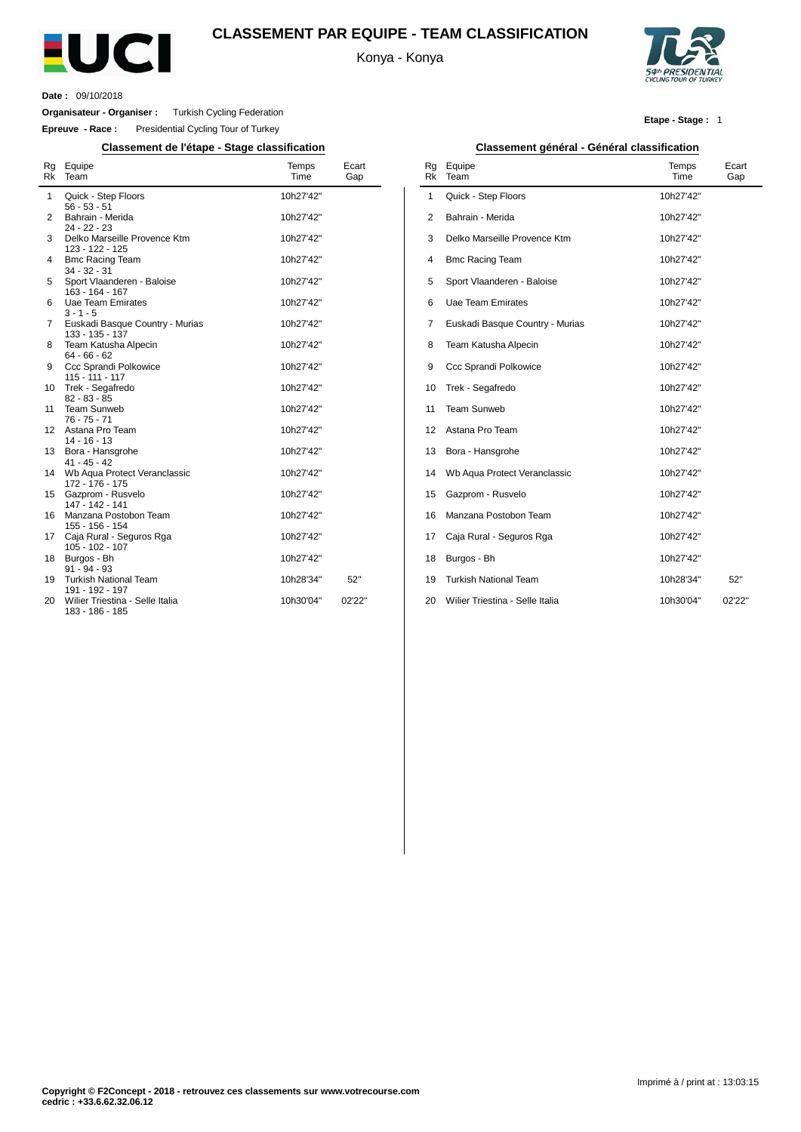

### **CLASSEMENT PAR EQUIPE - TEAM CLASSIFICATION**

Konya - Konya



**Date :** 09/10/2018

 $\overline{a}$ 

**Organisateur - Organiser :** Turkish Cycling Federation

**Epreuve - Race :** Presidential Cycling Tour of Turkey

**Classement de l'étape - Stage classification Classement général - Général classification**

| Rg<br>Rk | Equipe<br>Team                                                        | Temps<br>Time          | Ecart<br>Gap |
|----------|-----------------------------------------------------------------------|------------------------|--------------|
| 1        | Quick - Step Floors<br>$56 - 53 - 51$                                 | 10h27'42"              |              |
| 2        | Bahrain - Merida<br>$24 - 22 - 23$                                    | 10h27'42"              |              |
| 3        | Delko Marseille Provence Ktm<br>123 - 122 - 125                       | 10h27'42"              |              |
| 4        | <b>Bmc Racing Team</b><br>$34 - 32 - 31$                              | 10h27'42"              |              |
| 5        | Sport Vlaanderen - Baloise<br>163 - 164 - 167                         | 10h27'42"              |              |
| 6        | Uae Team Emirates<br>$3 - 1 - 5$                                      | 10h27'42"              |              |
| 7        | Euskadi Basque Country - Murias<br>133 - 135 - 137                    | 10h27'42"              |              |
| 8        | Team Katusha Alpecin<br>$64 - 66 - 62$                                | 10h27'42"              |              |
| 9        | Ccc Sprandi Polkowice<br>$115 - 111 - 117$                            | 10h27'42"              |              |
| 10<br>11 | Trek - Segafredo<br>$82 - 83 - 85$<br><b>Team Sunweb</b>              | 10h27'42"<br>10h27'42" |              |
| 12       | $76 - 75 - 71$<br>Astana Pro Team                                     | 10h27'42"              |              |
| 13       | $14 - 16 - 13$<br>Bora - Hansgrohe                                    | 10h27'42"              |              |
| 14       | $41 - 45 - 42$<br>Wb Aqua Protect Veranclassic                        | 10h27'42"              |              |
| 15       | 172 - 176 - 175<br>Gazprom - Rusvelo                                  | 10h27'42"              |              |
| 16       | 147 - 142 - 141<br>Manzana Postobon Team                              | 10h27'42"              |              |
| 17       | 155 - 156 - 154<br>Caja Rural - Seguros Rga                           | 10h27'42"              |              |
| 18       | 105 - 102 - 107<br>Burgos - Bh                                        | 10h27'42"              |              |
| 19       | $91 - 94 - 93$<br><b>Turkish National Team</b>                        | 10h28'34"              | 52"          |
| 20       | 191 - 192 - 197<br>Wilier Triestina - Selle Italia<br>183 - 186 - 185 | 10h30'04"              | 02'22"       |

#### **Etape - Stage :** 1

| Rq<br>Rk | . <del>. .</del><br>Equipe<br>Team | Temps<br>Time | Ecart<br>Gap |
|----------|------------------------------------|---------------|--------------|
| 1        | Quick - Step Floors                | 10h27'42"     |              |
| 2        | Bahrain - Merida                   | 10h27'42"     |              |
| 3        | Delko Marseille Provence Ktm       | 10h27'42"     |              |
| 4        | <b>Bmc Racing Team</b>             | 10h27'42"     |              |
| 5        | Sport Vlaanderen - Baloise         | 10h27'42"     |              |
| 6        | Uae Team Emirates                  | 10h27'42"     |              |
| 7        | Euskadi Basque Country - Murias    | 10h27'42"     |              |
| 8        | Team Katusha Alpecin               | 10h27'42"     |              |
| 9        | Ccc Sprandi Polkowice              | 10h27'42"     |              |
| 10       | Trek - Segafredo                   | 10h27'42"     |              |
| 11       | Team Sunweb                        | 10h27'42"     |              |
| 12       | Astana Pro Team                    | 10h27'42"     |              |
| 13       | Bora - Hansgrohe                   | 10h27'42"     |              |
| 14       | Wb Aqua Protect Veranclassic       | 10h27'42"     |              |
| 15       | Gazprom - Rusvelo                  | 10h27'42"     |              |
| 16       | Manzana Postobon Team              | 10h27'42"     |              |
| 17       | Caja Rural - Seguros Rga           | 10h27'42"     |              |
| 18       | Burgos - Bh                        | 10h27'42"     |              |
| 19       | <b>Turkish National Team</b>       | 10h28'34"     | 52"          |
| 20       | Wilier Triestina - Selle Italia    | 10h30'04"     | 02'22"       |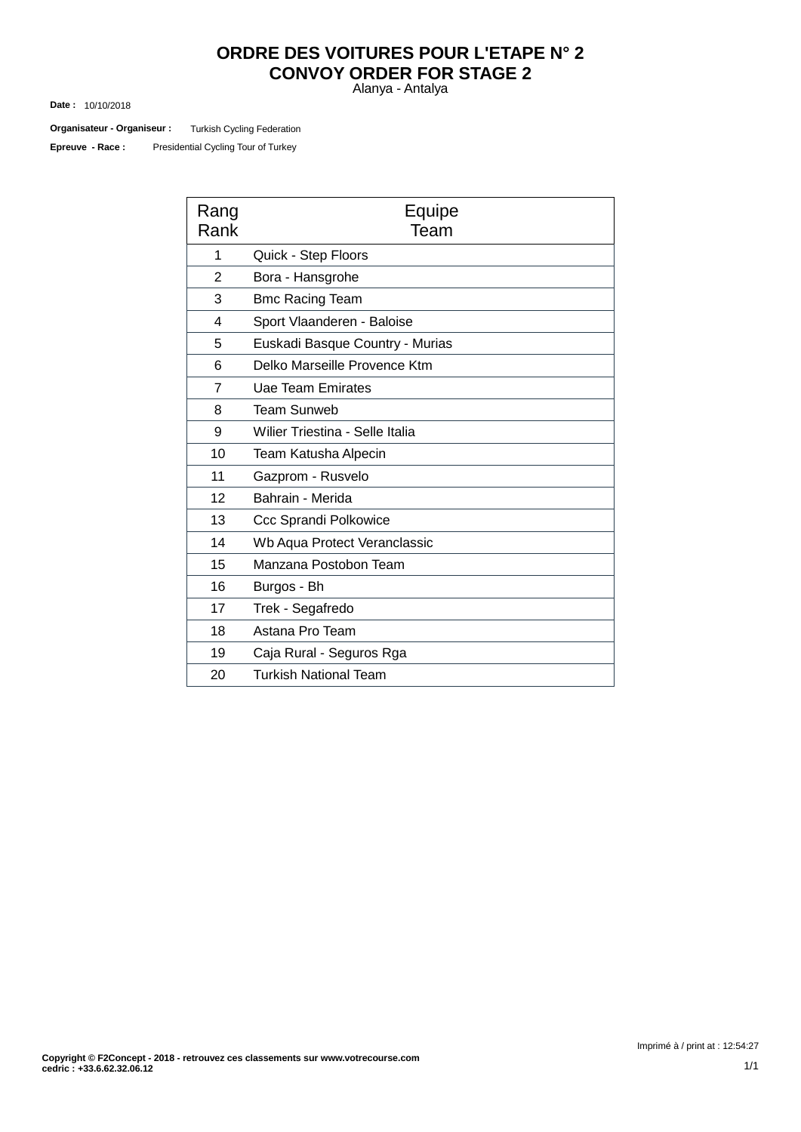## **ORDRE DES VOITURES POUR L'ETAPE N° 2 CONVOY ORDER FOR STAGE 2**

Alanya - Antalya

10/10/2018 **Date :**

Turkish Cycling Federation **Organisateur - Organiseur :**

Presidential Cycling Tour of Turkey **Epreuve - Race :**

| Rang<br>Rank   | Equipe<br>Team                  |  |  |  |  |
|----------------|---------------------------------|--|--|--|--|
| 1              | Quick - Step Floors             |  |  |  |  |
| $\overline{2}$ | Bora - Hansgrohe                |  |  |  |  |
| 3              | <b>Bmc Racing Team</b>          |  |  |  |  |
| 4              | Sport Vlaanderen - Baloise      |  |  |  |  |
| 5              | Euskadi Basque Country - Murias |  |  |  |  |
| 6              | Delko Marseille Provence Ktm    |  |  |  |  |
| $\overline{7}$ | <b>Uae Team Emirates</b>        |  |  |  |  |
| 8              | <b>Team Sunweb</b>              |  |  |  |  |
| 9              | Wilier Triestina - Selle Italia |  |  |  |  |
| 10             | Team Katusha Alpecin            |  |  |  |  |
| 11             | Gazprom - Rusvelo               |  |  |  |  |
| 12             | Bahrain - Merida                |  |  |  |  |
| 13             | <b>Ccc Sprandi Polkowice</b>    |  |  |  |  |
| 14             | Wb Aqua Protect Veranclassic    |  |  |  |  |
| 15             | Manzana Postobon Team           |  |  |  |  |
| 16             | Burgos - Bh                     |  |  |  |  |
| 17             | Trek - Segafredo                |  |  |  |  |
| 18             | Astana Pro Team                 |  |  |  |  |
| 19             | Caja Rural - Seguros Rga        |  |  |  |  |
| 20             | <b>Turkish National Team</b>    |  |  |  |  |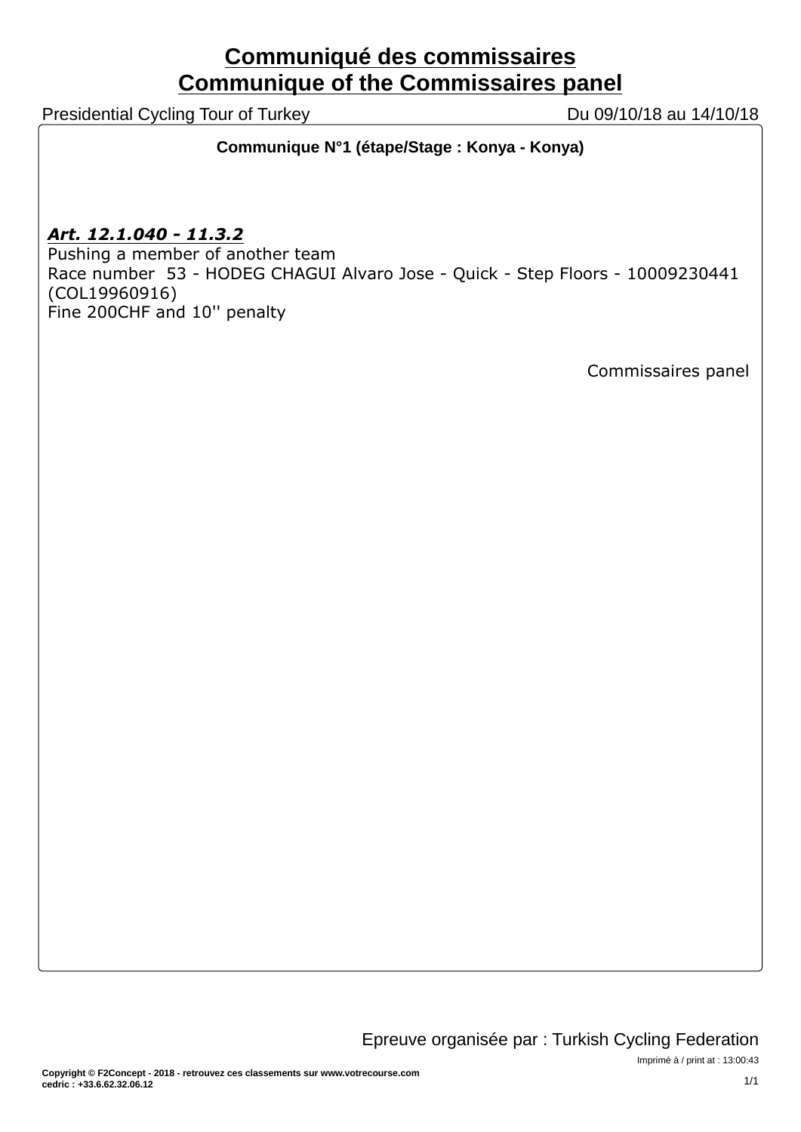# **Communiqué des commissaires Communique of the Commissaires panel**

Presidential Cycling Tour of Turkey Du 09/10/18 au 14/10/18

**Communique N°1 (étape/Stage : Konya - Konya)**

*Art. 12.1.040 - 11.3.2*

Pushing a member of another team Race number 53 - HODEG CHAGUI Alvaro Jose - Quick - Step Floors - 10009230441 (COL19960916) Fine 200CHF and 10'' penalty

Commissaires panel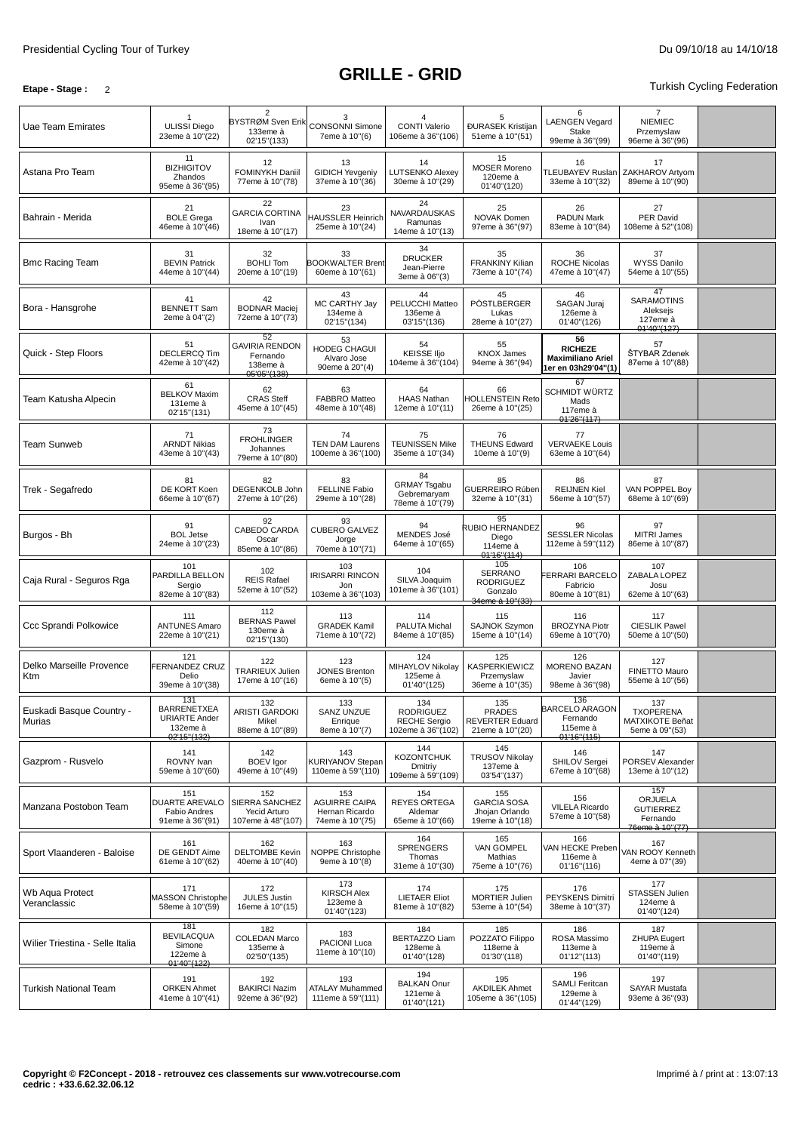### **Etape -** Stage : 2 **Turkish Cycling Federation**

| Uae Team Emirates                  | <b>ULISSI Diego</b><br>23eme à 10"(22)                                       | $\overline{2}$<br>BYSTRØM Sven Erik<br>133eme à<br>02'15"(133)     | 3<br><b>CONSONNI Simone</b><br>7eme à 10"(6)                     | $\overline{4}$<br><b>CONTI Valerio</b><br>106eme à 36"(106)         | 5<br><b>ĐURASEK Kristijan</b><br>51eme à 10"(51)                  | 6<br><b>LAENGEN Vegard</b><br><b>Stake</b><br>99eme à 36"(99)           | $\overline{7}$<br><b>NIEMIEC</b><br>Przemyslaw<br>96eme à 36"(96) |  |
|------------------------------------|------------------------------------------------------------------------------|--------------------------------------------------------------------|------------------------------------------------------------------|---------------------------------------------------------------------|-------------------------------------------------------------------|-------------------------------------------------------------------------|-------------------------------------------------------------------|--|
| Astana Pro Team                    | 11<br><b>BIZHIGITOV</b><br>Zhandos<br>95eme à 36"(95)                        | 12<br>FOMINYKH Daniil<br>77eme à 10"(78)                           | 13<br><b>GIDICH Yevgeniy</b><br>37eme à 10"(36)                  | 14<br><b>LUTSENKO Alexey</b><br>30eme à 10"(29)                     | 15<br><b>MOSER Moreno</b><br>120eme à<br>01'40"(120)              | 16<br>TLEUBAYEV Ruslan<br>33eme à 10"(32)                               | 17<br>ZAKHAROV Artyom<br>89eme à 10"(90)                          |  |
| Bahrain - Merida                   | 21<br><b>BOLE Grega</b><br>46eme à 10"(46)                                   | 22<br><b>GARCIA CORTINA</b><br>Ivan<br>18eme à 10"(17)             | 23<br><b>HAUSSLER Heinrich</b><br>25eme à 10"(24)                | 24<br>NAVARDAUSKAS<br>Ramunas<br>14eme à 10"(13)                    | 25<br>NOVAK Domen<br>97eme à 36"(97)                              | 26<br><b>PADUN Mark</b><br>83eme à 10"(84)                              | 27<br>PER David<br>108eme à 52"(108)                              |  |
| <b>Bmc Racing Team</b>             | 31<br><b>BEVIN Patrick</b><br>44eme à 10"(44)                                | 32<br><b>BOHLI Tom</b><br>20eme à 10"(19)                          | 33<br><b>BOOKWALTER Brent</b><br>60eme à 10"(61)                 | 34<br><b>DRUCKER</b><br>Jean-Pierre<br>3eme à 06"(3)                | 35<br><b>FRANKINY Kilian</b><br>73eme à 10"(74)                   | 36<br><b>ROCHE Nicolas</b><br>47eme à 10"(47)                           | 37<br><b>WYSS Danilo</b><br>54eme à 10"(55)                       |  |
| Bora - Hansgrohe                   | 41<br><b>BENNETT Sam</b><br>2eme à 04"(2)                                    | 42<br><b>BODNAR Maciej</b><br>72eme à 10"(73)                      | 43<br>MC CARTHY Jay<br>134eme à<br>02'15"(134)                   | 44<br>PELUCCHI Matteo<br>136eme à<br>03'15"(136)                    | 45<br>PÖSTLBERGER<br>Lukas<br>28eme à 10"(27)                     | 46<br>SAGAN Juraj<br>126eme à<br>01'40"(126)                            | 47<br><b>SARAMOTINS</b><br>Aleksejs<br>127eme à<br>01'40''(127)   |  |
| Quick - Step Floors                | 51<br><b>DECLERCQ Tim</b><br>42eme à 10"(42)                                 | 52<br><b>GAVIRIA RENDON</b><br>Fernando<br>138eme à<br>05'05"(138) | 53<br><b>HODEG CHAGUI</b><br>Alvaro Jose<br>90eme à 20"(4)       | 54<br><b>KEISSE IIjo</b><br>104eme à 36"(104)                       | 55<br><b>KNOX James</b><br>94eme à 36"(94)                        | 56<br><b>RICHEZE</b><br><b>Maximiliano Ariel</b><br>1er en 03h29'04"(1) | 57<br>ŠTYBAR Zdenek<br>87eme à 10"(88)                            |  |
| Team Katusha Alpecin               | 61<br><b>BELKOV Maxim</b><br>131eme à<br>02'15"(131)                         | 62<br><b>CRAS Steff</b><br>45eme à 10"(45)                         | 63<br><b>FABBRO Matteo</b><br>48eme à 10"(48)                    | 64<br><b>HAAS Nathan</b><br>12eme à 10"(11)                         | 66<br><b>HOLLENSTEIN Reto</b><br>26eme à 10"(25)                  | 67<br><b>SCHMIDT WÜRTZ</b><br>Mads<br>117eme à<br>01'26''(117)          |                                                                   |  |
| <b>Team Sunweb</b>                 | 71<br><b>ARNDT Nikias</b><br>43eme à 10"(43)                                 | 73<br><b>FROHLINGER</b><br>Johannes<br>79eme à 10"(80)             | 74<br><b>TEN DAM Laurens</b><br>100eme à 36"(100)                | 75<br><b>TEUNISSEN Mike</b><br>35eme à 10"(34)                      | 76<br><b>THEUNS Edward</b><br>10eme à 10"(9)                      | 77<br><b>VERVAEKE Louis</b><br>63eme à 10"(64)                          |                                                                   |  |
| Trek - Segafredo                   | 81<br>DE KORT Koen<br>66eme à 10"(67)                                        | 82<br>DEGENKOLB John<br>27eme à 10"(26)                            | 83<br><b>FELLINE Fabio</b><br>29eme à 10"(28)                    | 84<br><b>GRMAY Tsgabu</b><br>Gebremaryam<br>78eme à 10"(79)         | 85<br>GUERREIRO Rúben<br>32eme à 10"(31)                          | 86<br><b>REIJNEN Kiel</b><br>56eme à 10"(57)                            | 87<br>VAN POPPEL Boy<br>68eme à 10"(69)                           |  |
| Burgos - Bh                        | 91<br><b>BOL Jetse</b><br>24eme à 10"(23)                                    | 92<br>CABEDO CARDA<br>Oscar<br>85eme à 10"(86)                     | 93<br><b>CUBERO GALVEZ</b><br>Jorge<br>70eme à 10"(71)           | 94<br>MENDES José<br>64eme à 10"(65)                                | 95<br>RUBIO HERNANDEZ<br>Diego<br>114eme à<br>01'16"(114)         | 96<br><b>SESSLER Nicolas</b><br>112eme à 59"(112)                       | 97<br>MITRI James<br>86eme à 10"(87)                              |  |
| Caja Rural - Seguros Rga           | 101<br>PARDILLA BELLON<br>Sergio<br>82eme à 10"(83)                          | 102<br><b>REIS Rafael</b><br>52eme à 10"(52)                       | 103<br><b>IRISARRI RINCON</b><br>Jon<br>103eme à 36"(103)        | 104<br>SILVA Joaquim<br>101eme à 36"(101)                           | 105<br>SERRANO<br><b>RODRIGUEZ</b><br>Gonzalo<br>34eme à 10"(33)  | 106<br><b>ERRARI BARCELO</b><br>Fabricio<br>80eme à 10"(81)             | 107<br>ZABALA LOPEZ<br>Josu<br>62eme à 10"(63)                    |  |
| Ccc Sprandi Polkowice              | 111<br><b>ANTUNES Amaro</b><br>22eme à 10"(21)                               | 112<br><b>BERNAS Pawel</b><br>130eme à<br>02'15"(130)              | 113<br><b>GRADEK Kamil</b><br>71eme à 10"(72)                    | 114<br>PALUTA Michal<br>84eme à 10"(85)                             | 115<br><b>SAJNOK Szvmon</b><br>15eme à 10"(14)                    | 116<br><b>BROZYNA Piotr</b><br>69eme à 10"(70)                          | 117<br><b>CIESLIK Pawel</b><br>50eme à 10"(50)                    |  |
| Delko Marseille Provence<br>Ktm    | 121<br>FERNANDEZ CRUZ<br>Delio<br>39eme à 10"(38)                            | 122<br><b>TRARIEUX Julien</b><br>17eme à 10"(16)                   | 123<br><b>JONES Brenton</b><br>6eme à 10"(5)                     | 124<br>MIHAYLOV Nikolay<br>125eme à<br>01'40"(125)                  | 125<br><b>KASPERKIEWICZ</b><br>Przemyslaw<br>36eme à 10"(35)      | 126<br><b>MORENO BAZAN</b><br>Javier<br>98eme à 36"(98)                 | 127<br><b>FINETTO Mauro</b><br>55eme à 10"(56)                    |  |
| Euskadi Basque Country -<br>Murias | 131<br><b>BARRENETXEA</b><br><b>URIARTE Ander</b><br>132eme à<br>02'15"(132) | 132<br>ARISTI GARDOKI<br>Mikel<br>88eme à 10"(89)                  | 133<br><b>SANZ UNZUE</b><br>Enrique<br>8eme à 10"(7)             | 134<br><b>RODRIGUEZ</b><br><b>RECHE Sergio</b><br>102eme à 36"(102) | 135<br><b>PRADES</b><br><b>REVERTER Eduard</b><br>21eme à 10"(20) | 136<br><b>BARCELO ARAGON</b><br>Fernando<br>115eme à<br>01'16''(115)    | 137<br><b>TXOPERENA</b><br>MATXIKOTE Beñat<br>5eme à 09"(53)      |  |
| Gazprom - Rusvelo                  | 141<br>ROVNY Ivan<br>59eme à 10"(60)                                         | 142<br><b>BOEV</b> Igor<br>49eme à 10"(49)                         | 143<br><b>KURIYANOV Stepan</b><br>110eme à 59"(110)              | 144<br><b>KOZONTCHUK</b><br>Dmitriy<br>109eme à 59"(109)            | 145<br><b>TRUSOV Nikolay</b><br>137eme à<br>03'54"(137)           | 146<br>SHILOV Sergei<br>67eme à 10"(68)                                 | 147<br>PORSEV Alexander<br>13eme à 10"(12)                        |  |
| Manzana Postobon Team              | 151<br>DUARTE AREVALO<br>Fabio Andres<br>91eme à 36"(91)                     | 152<br>SIERRA SANCHEZ<br>Yecid Arturo<br>107eme à 48"(107)         | 153<br><b>AGUIRRE CAIPA</b><br>Hernan Ricardo<br>74eme à 10"(75) | 154<br><b>REYES ORTEGA</b><br>Aldemar<br>65eme à 10"(66)            | 155<br><b>GARCIA SOSA</b><br>Jhojan Orlando<br>19eme à 10"(18)    | 156<br><b>VILELA Ricardo</b><br>57eme à 10"(58)                         | 157<br>ORJUELA<br><b>GUTIERREZ</b><br>Fernando<br>76eme à 10"(77) |  |
| Sport Vlaanderen - Baloise         | 161<br>DE GENDT Aime<br>61eme à 10"(62)                                      | 162<br><b>DELTOMBE Kevin</b><br>40eme à 10"(40)                    | 163<br>NOPPE Christophe<br>9eme à 10"(8)                         | 164<br><b>SPRENGERS</b><br>Thomas<br>31eme à 10"(30)                | 165<br>VAN GOMPEL<br>Mathias<br>75eme à 10"(76)                   | 166<br>VAN HECKE Preben<br>116eme à<br>01'16"(116)                      | 167<br>VAN ROOY Kenneth<br>4eme à 07"(39)                         |  |
| Wb Aqua Protect<br>Veranclassic    | 171<br>MASSON Christophe<br>58eme à 10"(59)                                  | 172<br><b>JULES Justin</b><br>16eme à 10"(15)                      | 173<br><b>KIRSCH Alex</b><br>123eme à<br>01'40"(123)             | 174<br><b>LIETAER Eliot</b><br>81eme à 10"(82)                      | 175<br>MORTIER Julien<br>53eme à 10"(54)                          | 176<br><b>PEYSKENS Dimitri</b><br>38eme à 10"(37)                       | 177<br>STASSEN Julien<br>124eme à<br>01'40"(124)                  |  |
| Wilier Triestina - Selle Italia    | 181<br><b>BEVILACQUA</b><br>Simone<br>122eme à<br>01'40"(122)                | 182<br><b>COLEDAN Marco</b><br>135eme à<br>02'50"(135)             | 183<br>PACIONI Luca<br>11eme à 10"(10)                           | 184<br>BERTAZZO Liam<br>128eme à<br>01'40"(128)                     | 185<br>POZZATO Filippo<br>118eme à<br>01'30"(118)                 | 186<br>ROSA Massimo<br>113eme à<br>01'12"(113)                          | 187<br><b>ZHUPA Eugert</b><br>119eme à<br>01'40"(119)             |  |
| <b>Turkish National Team</b>       | 191<br><b>ORKEN Ahmet</b><br>41eme à 10"(41)                                 | 192<br><b>BAKIRCI Nazim</b><br>92eme à 36"(92)                     | 193<br><b>ATALAY Muhammed</b><br>111eme à 59"(111)               | 194<br><b>BALKAN Onur</b><br>121eme à<br>01'40"(121)                | 195<br><b>AKDILEK Ahmet</b><br>105eme à 36"(105)                  | 196<br><b>SAMLI Feritcan</b><br>129eme à<br>01'44"(129)                 | 197<br>SAYAR Mustafa<br>93eme à 36"(93)                           |  |